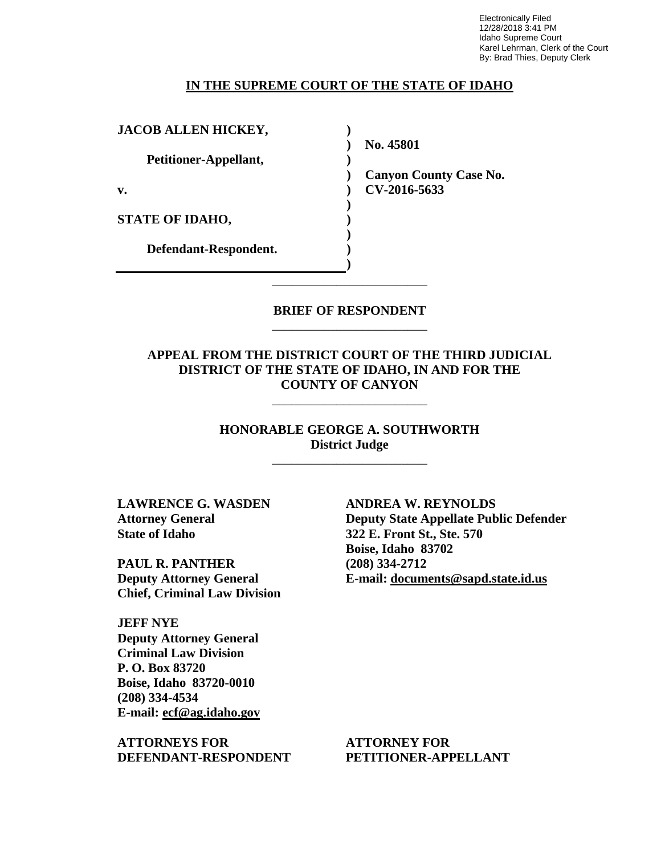Electronically Filed 12/28/2018 3:41 PM Idaho Supreme Court Karel Lehrman, Clerk of the Court By: Brad Thies, Deputy Clerk

### **IN THE SUPREME COURT OF THE STATE OF IDAHO**

**) ) )** 

**) ) ) ) ) )**

**JACOB ALLEN HICKEY,**

**Petitioner-Appellant,**

**v.**

**STATE OF IDAHO,**

**Defendant-Respondent.**

**No. 45801** 

**) Canyon County Case No. CV-2016-5633** 

**BRIEF OF RESPONDENT** \_\_\_\_\_\_\_\_\_\_\_\_\_\_\_\_\_\_\_\_\_\_\_\_

\_\_\_\_\_\_\_\_\_\_\_\_\_\_\_\_\_\_\_\_\_\_\_\_

**APPEAL FROM THE DISTRICT COURT OF THE THIRD JUDICIAL DISTRICT OF THE STATE OF IDAHO, IN AND FOR THE COUNTY OF CANYON**

\_\_\_\_\_\_\_\_\_\_\_\_\_\_\_\_\_\_\_\_\_\_\_\_

**HONORABLE GEORGE A. SOUTHWORTH District Judge**

\_\_\_\_\_\_\_\_\_\_\_\_\_\_\_\_\_\_\_\_\_\_\_\_

**LAWRENCE G. WASDEN Attorney General State of Idaho**

**PAUL R. PANTHER Deputy Attorney General Chief, Criminal Law Division**

**JEFF NYE Deputy Attorney General Criminal Law Division P. O. Box 83720 Boise, Idaho 83720-0010 (208) 334-4534 E-mail: ecf@ag.idaho.gov** 

**ATTORNEYS FOR DEFENDANT-RESPONDENT**

**ANDREA W. REYNOLDS Deputy State Appellate Public Defender 322 E. Front St., Ste. 570 Boise, Idaho 83702 (208) 334-2712 E-mail: documents@sapd.state.id.us** 

**ATTORNEY FOR PETITIONER-APPELLANT**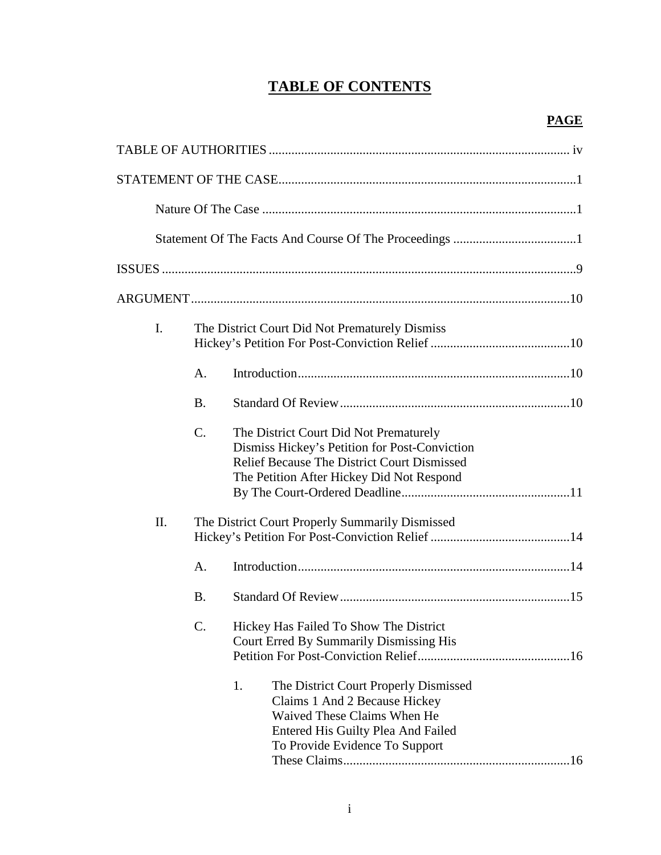# **TABLE OF CONTENTS**

| $\mathbf{I}$ . |                 | The District Court Did Not Prematurely Dismiss                                                                                                                                             |  |  |  |
|----------------|-----------------|--------------------------------------------------------------------------------------------------------------------------------------------------------------------------------------------|--|--|--|
|                | A.              |                                                                                                                                                                                            |  |  |  |
|                | <b>B.</b>       |                                                                                                                                                                                            |  |  |  |
|                | $\mathcal{C}$ . | The District Court Did Not Prematurely<br>Dismiss Hickey's Petition for Post-Conviction<br><b>Relief Because The District Court Dismissed</b><br>The Petition After Hickey Did Not Respond |  |  |  |
| II.            |                 | The District Court Properly Summarily Dismissed                                                                                                                                            |  |  |  |
|                | A.              |                                                                                                                                                                                            |  |  |  |
|                | <b>B.</b>       |                                                                                                                                                                                            |  |  |  |
| $\mathsf{C}.$  |                 | Hickey Has Failed To Show The District<br><b>Court Erred By Summarily Dismissing His</b>                                                                                                   |  |  |  |
|                |                 | 1.<br>The District Court Properly Dismissed<br>Claims 1 And 2 Because Hickey<br>Waived These Claims When He<br>Entered His Guilty Plea And Failed<br>To Provide Evidence To Support        |  |  |  |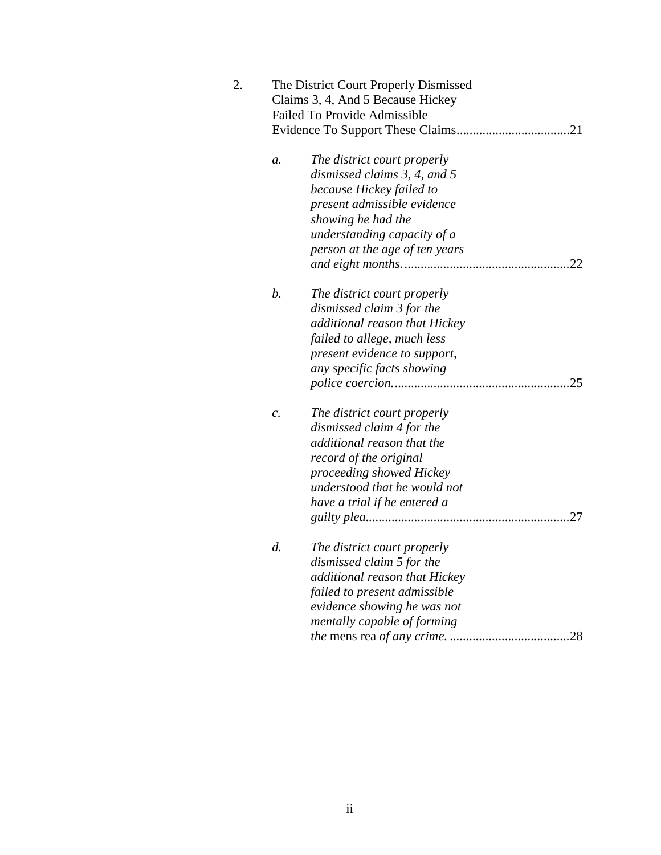| 2. |                 | The District Court Properly Dismissed |  |  |  |  |  |
|----|-----------------|---------------------------------------|--|--|--|--|--|
|    |                 | Claims 3, 4, And 5 Because Hickey     |  |  |  |  |  |
|    |                 | <b>Failed To Provide Admissible</b>   |  |  |  |  |  |
|    |                 |                                       |  |  |  |  |  |
|    | a.              | The district court properly           |  |  |  |  |  |
|    |                 | dismissed claims 3, 4, and 5          |  |  |  |  |  |
|    |                 | because Hickey failed to              |  |  |  |  |  |
|    |                 | present admissible evidence           |  |  |  |  |  |
|    |                 | showing he had the                    |  |  |  |  |  |
|    |                 | understanding capacity of a           |  |  |  |  |  |
|    |                 | person at the age of ten years        |  |  |  |  |  |
|    |                 |                                       |  |  |  |  |  |
|    | b.              | The district court properly           |  |  |  |  |  |
|    |                 | dismissed claim 3 for the             |  |  |  |  |  |
|    |                 | additional reason that Hickey         |  |  |  |  |  |
|    |                 | failed to allege, much less           |  |  |  |  |  |
|    |                 | present evidence to support,          |  |  |  |  |  |
|    |                 | any specific facts showing            |  |  |  |  |  |
|    |                 |                                       |  |  |  |  |  |
|    | $\mathcal{C}$ . | The district court properly           |  |  |  |  |  |
|    |                 | dismissed claim 4 for the             |  |  |  |  |  |
|    |                 | additional reason that the            |  |  |  |  |  |
|    |                 | record of the original                |  |  |  |  |  |
|    |                 | proceeding showed Hickey              |  |  |  |  |  |
|    |                 | understood that he would not          |  |  |  |  |  |
|    |                 | have a trial if he entered a          |  |  |  |  |  |
|    |                 | 27                                    |  |  |  |  |  |
|    | d.              | The district court properly           |  |  |  |  |  |
|    |                 | dismissed claim 5 for the             |  |  |  |  |  |
|    |                 | additional reason that Hickey         |  |  |  |  |  |
|    |                 | failed to present admissible          |  |  |  |  |  |
|    |                 | evidence showing he was not           |  |  |  |  |  |
|    |                 | mentally capable of forming           |  |  |  |  |  |
|    |                 | 28                                    |  |  |  |  |  |
|    |                 |                                       |  |  |  |  |  |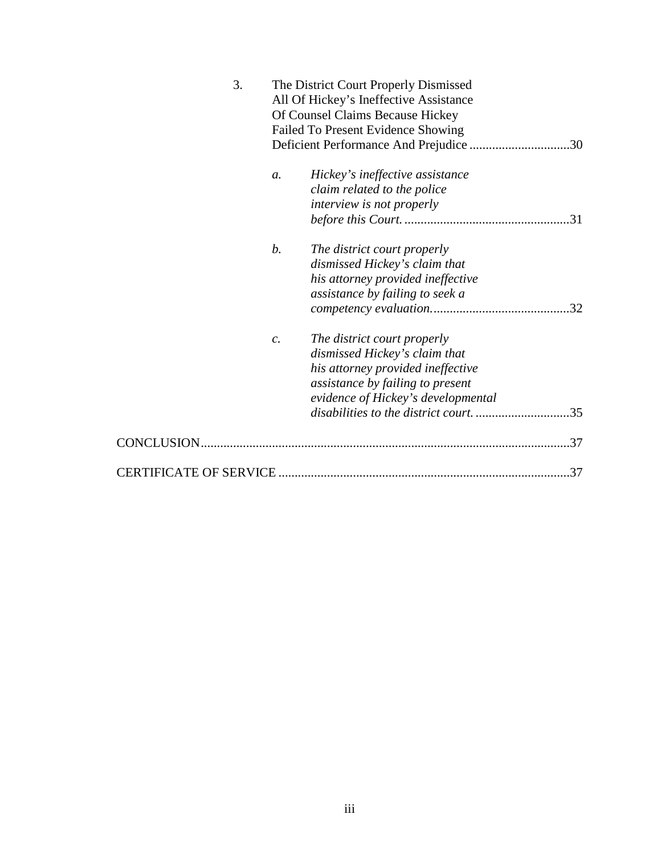| 3. | The District Court Properly Dismissed<br>All Of Hickey's Ineffective Assistance<br>Of Counsel Claims Because Hickey<br>Failed To Present Evidence Showing                                      |  |  |  |
|----|------------------------------------------------------------------------------------------------------------------------------------------------------------------------------------------------|--|--|--|
|    |                                                                                                                                                                                                |  |  |  |
|    | Hickey's ineffective assistance<br>$\mathfrak{a}.$<br>claim related to the police<br>interview is not properly                                                                                 |  |  |  |
|    | $\mathfrak{b}.$<br>The district court properly<br>dismissed Hickey's claim that<br>his attorney provided ineffective<br>assistance by failing to seek a                                        |  |  |  |
|    | The district court properly<br>$\mathcal{C}$ .<br>dismissed Hickey's claim that<br>his attorney provided ineffective<br>assistance by failing to present<br>evidence of Hickey's developmental |  |  |  |
|    |                                                                                                                                                                                                |  |  |  |
|    | .37                                                                                                                                                                                            |  |  |  |
|    | .37                                                                                                                                                                                            |  |  |  |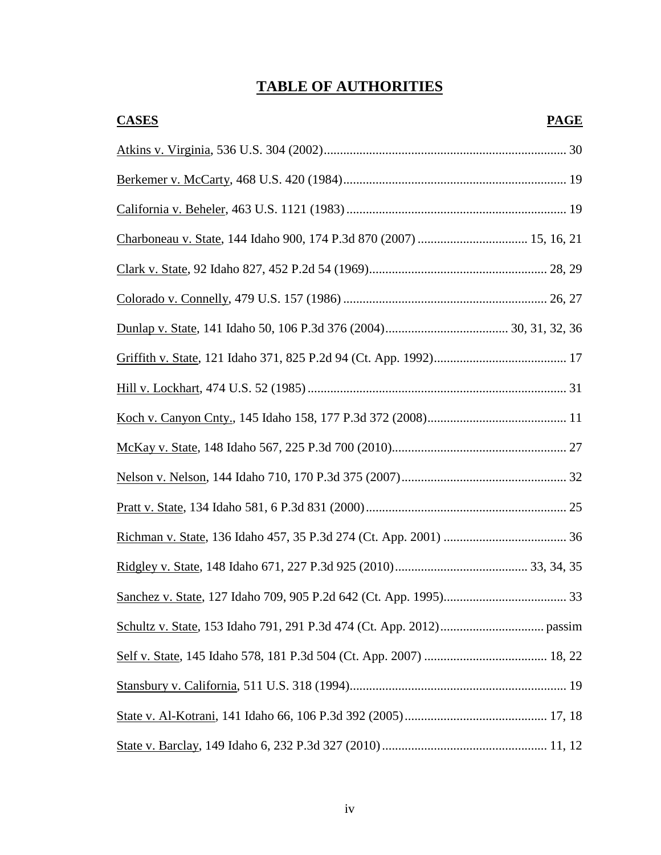# **TABLE OF AUTHORITIES**

| <b>CASES</b> | <b>PAGE</b> |
|--------------|-------------|
|              |             |
|              |             |
|              |             |
|              |             |
|              |             |
|              |             |
|              |             |
|              |             |
|              |             |
|              |             |
|              |             |
|              |             |
|              |             |
|              |             |
|              |             |
|              |             |
|              |             |
|              |             |
|              |             |
|              |             |
|              |             |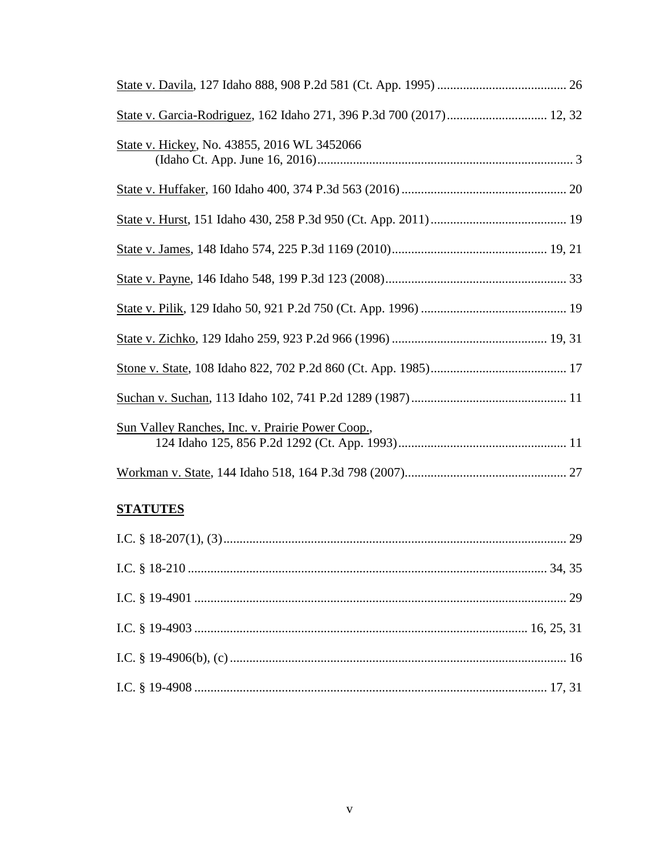| State v. Hickey, No. 43855, 2016 WL 3452066             |
|---------------------------------------------------------|
|                                                         |
|                                                         |
|                                                         |
|                                                         |
|                                                         |
|                                                         |
|                                                         |
|                                                         |
| Sun Valley Ranches, Inc. v. Prairie Power Coop.,        |
|                                                         |
| $C\mathbf{F}$ a $\mathbf{F}\mathbf{F}$ is $C\mathbf{F}$ |

# **STATUTES**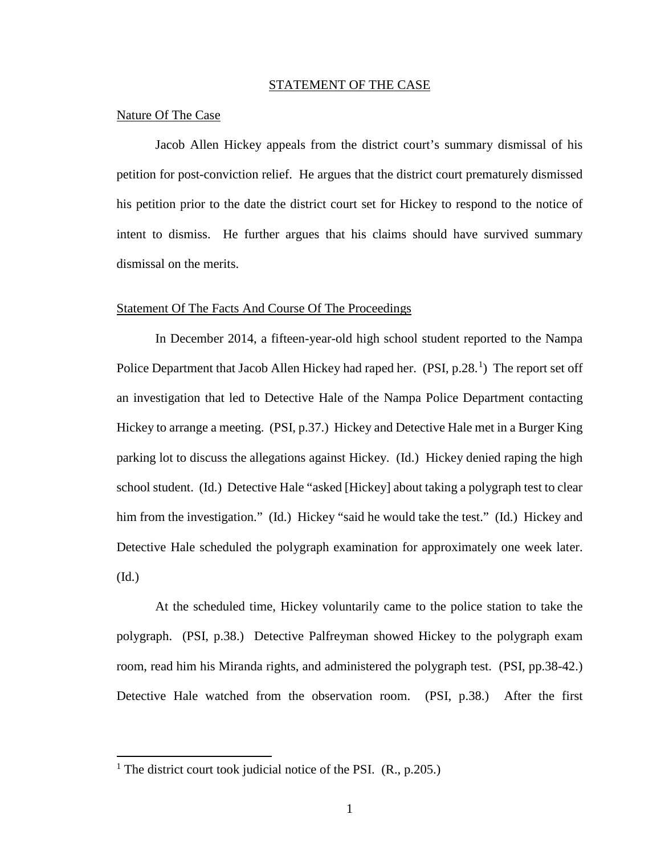#### STATEMENT OF THE CASE

## Nature Of The Case

Jacob Allen Hickey appeals from the district court's summary dismissal of his petition for post-conviction relief. He argues that the district court prematurely dismissed his petition prior to the date the district court set for Hickey to respond to the notice of intent to dismiss. He further argues that his claims should have survived summary dismissal on the merits.

#### Statement Of The Facts And Course Of The Proceedings

In December 2014, a fifteen-year-old high school student reported to the Nampa Police Department that Jacob Allen Hickey had raped her. (PSI, p.28.<sup>[1](#page--1-0)</sup>) The report set off an investigation that led to Detective Hale of the Nampa Police Department contacting Hickey to arrange a meeting. (PSI, p.37.) Hickey and Detective Hale met in a Burger King parking lot to discuss the allegations against Hickey. (Id.) Hickey denied raping the high school student. (Id.) Detective Hale "asked [Hickey] about taking a polygraph test to clear him from the investigation." (Id.) Hickey "said he would take the test." (Id.) Hickey and Detective Hale scheduled the polygraph examination for approximately one week later. (Id.)

At the scheduled time, Hickey voluntarily came to the police station to take the polygraph. (PSI, p.38.) Detective Palfreyman showed Hickey to the polygraph exam room, read him his Miranda rights, and administered the polygraph test. (PSI, pp.38-42.) Detective Hale watched from the observation room. (PSI, p.38.) After the first

 $\overline{a}$ 

<sup>&</sup>lt;sup>1</sup> The district court took judicial notice of the PSI.  $(R., p.205.)$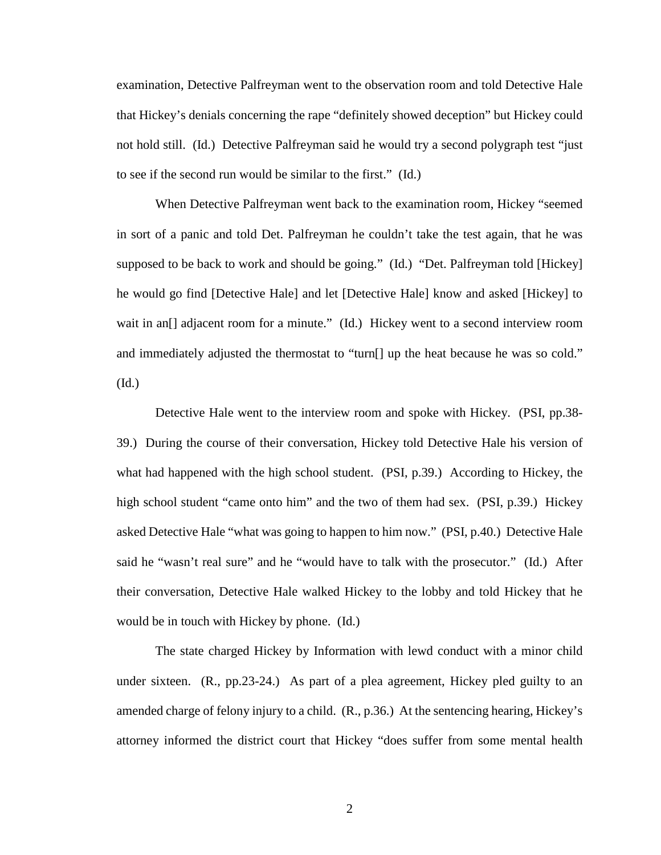examination, Detective Palfreyman went to the observation room and told Detective Hale that Hickey's denials concerning the rape "definitely showed deception" but Hickey could not hold still. (Id.) Detective Palfreyman said he would try a second polygraph test "just to see if the second run would be similar to the first." (Id.)

When Detective Palfreyman went back to the examination room, Hickey "seemed in sort of a panic and told Det. Palfreyman he couldn't take the test again, that he was supposed to be back to work and should be going." (Id.) "Det. Palfreyman told [Hickey] he would go find [Detective Hale] and let [Detective Hale] know and asked [Hickey] to wait in an<sup>[]</sup> adjacent room for a minute." (Id.) Hickey went to a second interview room and immediately adjusted the thermostat to "turn[] up the heat because he was so cold." (Id.)

Detective Hale went to the interview room and spoke with Hickey. (PSI, pp.38- 39.) During the course of their conversation, Hickey told Detective Hale his version of what had happened with the high school student. (PSI, p.39.) According to Hickey, the high school student "came onto him" and the two of them had sex. (PSI, p.39.) Hickey asked Detective Hale "what was going to happen to him now." (PSI, p.40.) Detective Hale said he "wasn't real sure" and he "would have to talk with the prosecutor." (Id.) After their conversation, Detective Hale walked Hickey to the lobby and told Hickey that he would be in touch with Hickey by phone. (Id.)

The state charged Hickey by Information with lewd conduct with a minor child under sixteen. (R., pp.23-24.) As part of a plea agreement, Hickey pled guilty to an amended charge of felony injury to a child. (R., p.36.) At the sentencing hearing, Hickey's attorney informed the district court that Hickey "does suffer from some mental health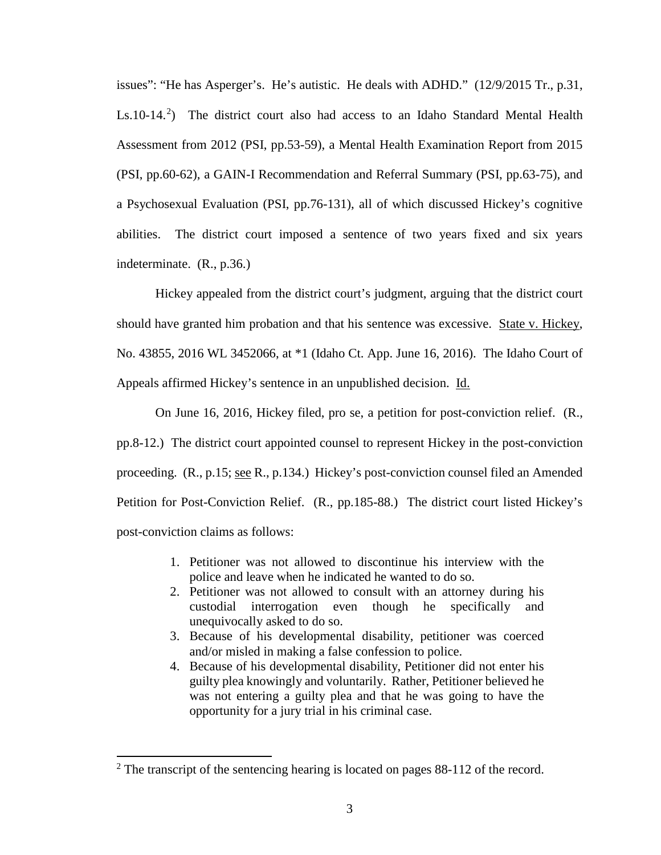issues": "He has Asperger's. He's autistic. He deals with ADHD." (12/9/2015 Tr., p.31, Ls.10-14.<sup>[2](#page--1-0)</sup>) The district court also had access to an Idaho Standard Mental Health Assessment from 2012 (PSI, pp.53-59), a Mental Health Examination Report from 2015 (PSI, pp.60-62), a GAIN-I Recommendation and Referral Summary (PSI, pp.63-75), and a Psychosexual Evaluation (PSI, pp.76-131), all of which discussed Hickey's cognitive abilities. The district court imposed a sentence of two years fixed and six years indeterminate. (R., p.36.)

Hickey appealed from the district court's judgment, arguing that the district court should have granted him probation and that his sentence was excessive. State v. Hickey, No. 43855, 2016 WL 3452066, at \*1 (Idaho Ct. App. June 16, 2016). The Idaho Court of Appeals affirmed Hickey's sentence in an unpublished decision. Id.

On June 16, 2016, Hickey filed, pro se, a petition for post-conviction relief. (R., pp.8-12.) The district court appointed counsel to represent Hickey in the post-conviction proceeding. (R., p.15; see R., p.134.) Hickey's post-conviction counsel filed an Amended Petition for Post-Conviction Relief. (R., pp.185-88.) The district court listed Hickey's post-conviction claims as follows:

- 1. Petitioner was not allowed to discontinue his interview with the police and leave when he indicated he wanted to do so.
- 2. Petitioner was not allowed to consult with an attorney during his custodial interrogation even though he specifically and unequivocally asked to do so.
- 3. Because of his developmental disability, petitioner was coerced and/or misled in making a false confession to police.
- 4. Because of his developmental disability, Petitioner did not enter his guilty plea knowingly and voluntarily. Rather, Petitioner believed he was not entering a guilty plea and that he was going to have the opportunity for a jury trial in his criminal case.

 $\overline{a}$ 

 $2^2$  The transcript of the sentencing hearing is located on pages 88-112 of the record.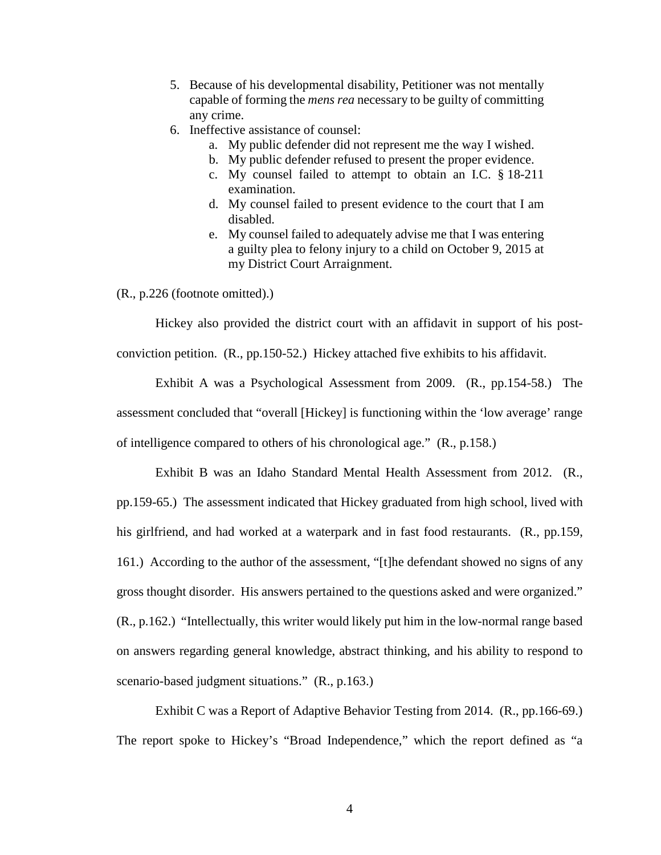- 5. Because of his developmental disability, Petitioner was not mentally capable of forming the *mens rea* necessary to be guilty of committing any crime.
- 6. Ineffective assistance of counsel:
	- a. My public defender did not represent me the way I wished.
	- b. My public defender refused to present the proper evidence.
	- c. My counsel failed to attempt to obtain an I.C. § 18-211 examination.
	- d. My counsel failed to present evidence to the court that I am disabled.
	- e. My counsel failed to adequately advise me that I was entering a guilty plea to felony injury to a child on October 9, 2015 at my District Court Arraignment.

## (R., p.226 (footnote omitted).)

Hickey also provided the district court with an affidavit in support of his postconviction petition. (R., pp.150-52.) Hickey attached five exhibits to his affidavit.

Exhibit A was a Psychological Assessment from 2009. (R., pp.154-58.) The assessment concluded that "overall [Hickey] is functioning within the 'low average' range of intelligence compared to others of his chronological age." (R., p.158.)

Exhibit B was an Idaho Standard Mental Health Assessment from 2012. (R., pp.159-65.) The assessment indicated that Hickey graduated from high school, lived with his girlfriend, and had worked at a waterpark and in fast food restaurants. (R., pp.159, 161.) According to the author of the assessment, "[t]he defendant showed no signs of any gross thought disorder. His answers pertained to the questions asked and were organized." (R., p.162.) "Intellectually, this writer would likely put him in the low-normal range based on answers regarding general knowledge, abstract thinking, and his ability to respond to scenario-based judgment situations." (R., p.163.)

Exhibit C was a Report of Adaptive Behavior Testing from 2014. (R., pp.166-69.) The report spoke to Hickey's "Broad Independence," which the report defined as "a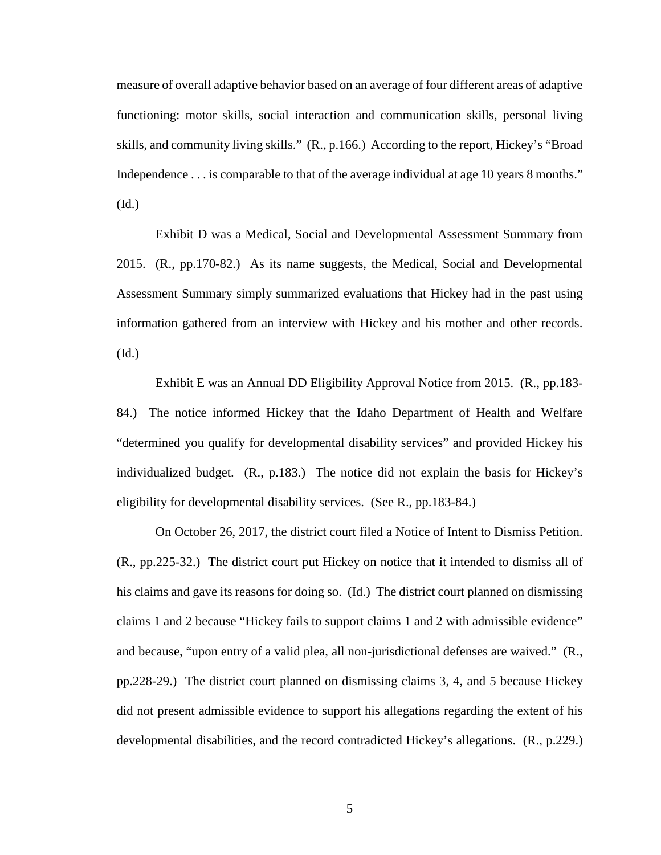measure of overall adaptive behavior based on an average of four different areas of adaptive functioning: motor skills, social interaction and communication skills, personal living skills, and community living skills." (R., p.166.) According to the report, Hickey's "Broad Independence . . . is comparable to that of the average individual at age 10 years 8 months." (Id.)

Exhibit D was a Medical, Social and Developmental Assessment Summary from 2015. (R., pp.170-82.) As its name suggests, the Medical, Social and Developmental Assessment Summary simply summarized evaluations that Hickey had in the past using information gathered from an interview with Hickey and his mother and other records. (Id.)

 Exhibit E was an Annual DD Eligibility Approval Notice from 2015. (R., pp.183- 84.) The notice informed Hickey that the Idaho Department of Health and Welfare "determined you qualify for developmental disability services" and provided Hickey his individualized budget. (R., p.183.) The notice did not explain the basis for Hickey's eligibility for developmental disability services. (See R., pp.183-84.)

 On October 26, 2017, the district court filed a Notice of Intent to Dismiss Petition. (R., pp.225-32.) The district court put Hickey on notice that it intended to dismiss all of his claims and gave its reasons for doing so. (Id.) The district court planned on dismissing claims 1 and 2 because "Hickey fails to support claims 1 and 2 with admissible evidence" and because, "upon entry of a valid plea, all non-jurisdictional defenses are waived." (R., pp.228-29.) The district court planned on dismissing claims 3, 4, and 5 because Hickey did not present admissible evidence to support his allegations regarding the extent of his developmental disabilities, and the record contradicted Hickey's allegations. (R., p.229.)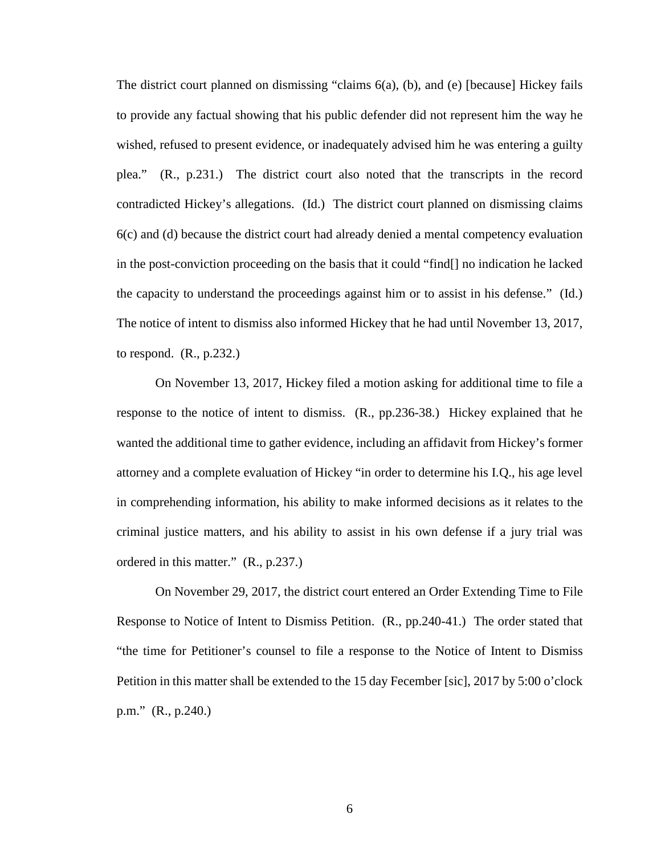The district court planned on dismissing "claims 6(a), (b), and (e) [because] Hickey fails to provide any factual showing that his public defender did not represent him the way he wished, refused to present evidence, or inadequately advised him he was entering a guilty plea." (R., p.231.) The district court also noted that the transcripts in the record contradicted Hickey's allegations. (Id.) The district court planned on dismissing claims 6(c) and (d) because the district court had already denied a mental competency evaluation in the post-conviction proceeding on the basis that it could "find[] no indication he lacked the capacity to understand the proceedings against him or to assist in his defense." (Id.) The notice of intent to dismiss also informed Hickey that he had until November 13, 2017, to respond. (R., p.232.)

On November 13, 2017, Hickey filed a motion asking for additional time to file a response to the notice of intent to dismiss. (R., pp.236-38.) Hickey explained that he wanted the additional time to gather evidence, including an affidavit from Hickey's former attorney and a complete evaluation of Hickey "in order to determine his I.Q., his age level in comprehending information, his ability to make informed decisions as it relates to the criminal justice matters, and his ability to assist in his own defense if a jury trial was ordered in this matter." (R., p.237.)

 On November 29, 2017, the district court entered an Order Extending Time to File Response to Notice of Intent to Dismiss Petition. (R., pp.240-41.) The order stated that "the time for Petitioner's counsel to file a response to the Notice of Intent to Dismiss Petition in this matter shall be extended to the 15 day Fecember [sic], 2017 by 5:00 o'clock p.m." (R., p.240.)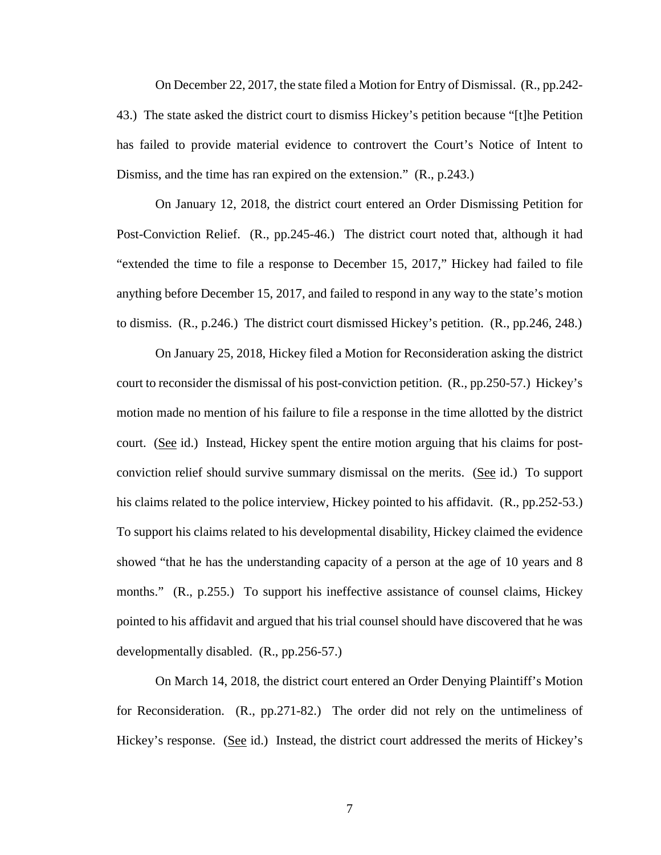On December 22, 2017, the state filed a Motion for Entry of Dismissal. (R., pp.242- 43.) The state asked the district court to dismiss Hickey's petition because "[t]he Petition has failed to provide material evidence to controvert the Court's Notice of Intent to Dismiss, and the time has ran expired on the extension." (R., p.243.)

On January 12, 2018, the district court entered an Order Dismissing Petition for Post-Conviction Relief. (R., pp.245-46.) The district court noted that, although it had "extended the time to file a response to December 15, 2017," Hickey had failed to file anything before December 15, 2017, and failed to respond in any way to the state's motion to dismiss. (R., p.246.) The district court dismissed Hickey's petition. (R., pp.246, 248.)

On January 25, 2018, Hickey filed a Motion for Reconsideration asking the district court to reconsider the dismissal of his post-conviction petition. (R., pp.250-57.) Hickey's motion made no mention of his failure to file a response in the time allotted by the district court. (See id.) Instead, Hickey spent the entire motion arguing that his claims for postconviction relief should survive summary dismissal on the merits. (See id.) To support his claims related to the police interview, Hickey pointed to his affidavit. (R., pp.252-53.) To support his claims related to his developmental disability, Hickey claimed the evidence showed "that he has the understanding capacity of a person at the age of 10 years and 8 months." (R., p.255.) To support his ineffective assistance of counsel claims, Hickey pointed to his affidavit and argued that his trial counsel should have discovered that he was developmentally disabled. (R., pp.256-57.)

 On March 14, 2018, the district court entered an Order Denying Plaintiff's Motion for Reconsideration. (R., pp.271-82.) The order did not rely on the untimeliness of Hickey's response. (See id.) Instead, the district court addressed the merits of Hickey's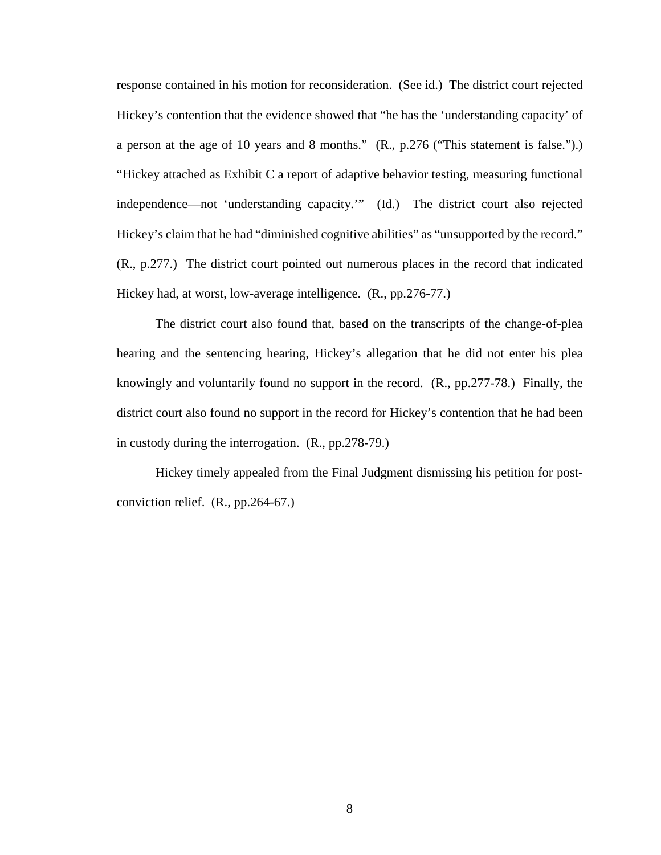response contained in his motion for reconsideration. (See id.) The district court rejected Hickey's contention that the evidence showed that "he has the 'understanding capacity' of a person at the age of 10 years and 8 months." (R., p.276 ("This statement is false.").) "Hickey attached as Exhibit C a report of adaptive behavior testing, measuring functional independence—not 'understanding capacity.'" (Id.) The district court also rejected Hickey's claim that he had "diminished cognitive abilities" as "unsupported by the record." (R., p.277.) The district court pointed out numerous places in the record that indicated Hickey had, at worst, low-average intelligence. (R., pp.276-77.)

The district court also found that, based on the transcripts of the change-of-plea hearing and the sentencing hearing, Hickey's allegation that he did not enter his plea knowingly and voluntarily found no support in the record. (R., pp.277-78.) Finally, the district court also found no support in the record for Hickey's contention that he had been in custody during the interrogation. (R., pp.278-79.)

Hickey timely appealed from the Final Judgment dismissing his petition for postconviction relief. (R., pp.264-67.)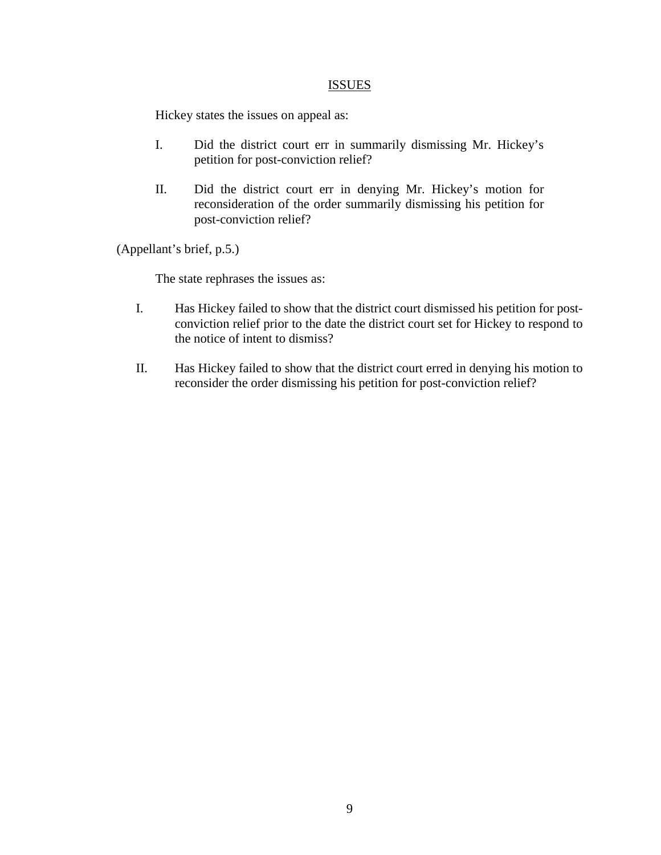# **ISSUES**

Hickey states the issues on appeal as:

- I. Did the district court err in summarily dismissing Mr. Hickey's petition for post-conviction relief?
- II. Did the district court err in denying Mr. Hickey's motion for reconsideration of the order summarily dismissing his petition for post-conviction relief?

(Appellant's brief, p.5.)

The state rephrases the issues as:

- I. Has Hickey failed to show that the district court dismissed his petition for postconviction relief prior to the date the district court set for Hickey to respond to the notice of intent to dismiss?
- II. Has Hickey failed to show that the district court erred in denying his motion to reconsider the order dismissing his petition for post-conviction relief?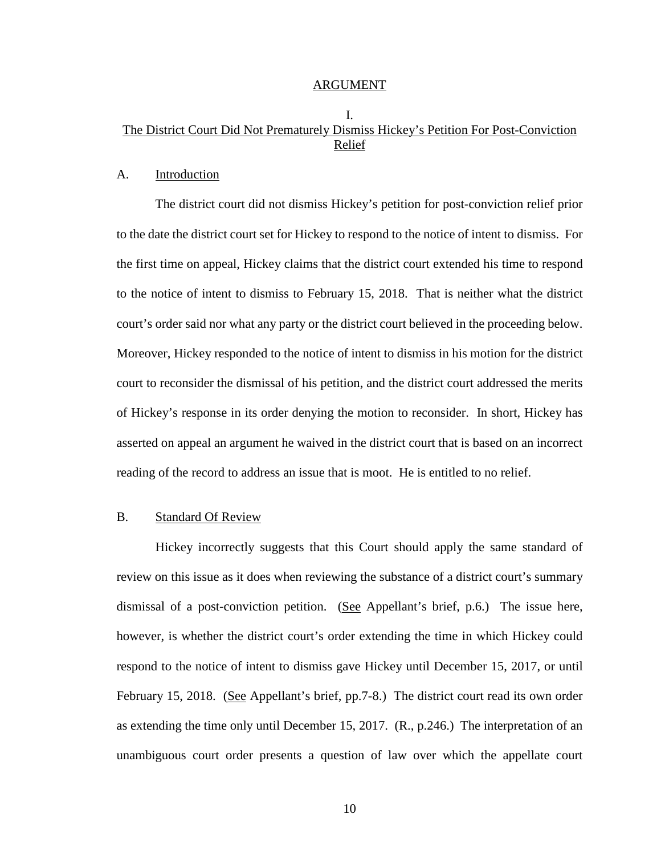#### ARGUMENT

# I. The District Court Did Not Prematurely Dismiss Hickey's Petition For Post-Conviction Relief

#### A. Introduction

The district court did not dismiss Hickey's petition for post-conviction relief prior to the date the district court set for Hickey to respond to the notice of intent to dismiss. For the first time on appeal, Hickey claims that the district court extended his time to respond to the notice of intent to dismiss to February 15, 2018. That is neither what the district court's order said nor what any party or the district court believed in the proceeding below. Moreover, Hickey responded to the notice of intent to dismiss in his motion for the district court to reconsider the dismissal of his petition, and the district court addressed the merits of Hickey's response in its order denying the motion to reconsider. In short, Hickey has asserted on appeal an argument he waived in the district court that is based on an incorrect reading of the record to address an issue that is moot. He is entitled to no relief.

## B. Standard Of Review

Hickey incorrectly suggests that this Court should apply the same standard of review on this issue as it does when reviewing the substance of a district court's summary dismissal of a post-conviction petition. (See Appellant's brief, p.6.) The issue here, however, is whether the district court's order extending the time in which Hickey could respond to the notice of intent to dismiss gave Hickey until December 15, 2017, or until February 15, 2018. (See Appellant's brief, pp.7-8.) The district court read its own order as extending the time only until December 15, 2017. (R., p.246.) The interpretation of an unambiguous court order presents a question of law over which the appellate court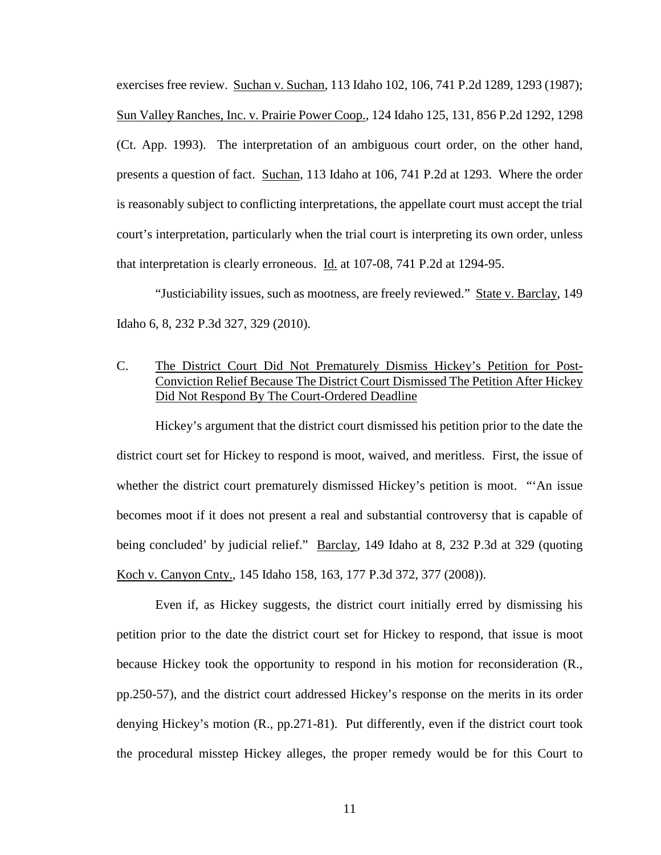exercises free review. Suchan v. Suchan, 113 Idaho 102, 106, 741 P.2d 1289, 1293 (1987); Sun Valley Ranches, Inc. v. Prairie Power Coop., 124 Idaho 125, 131, 856 P.2d 1292, 1298 (Ct. App. 1993). The interpretation of an ambiguous court order, on the other hand, presents a question of fact. Suchan, 113 Idaho at 106, 741 P.2d at 1293. Where the order is reasonably subject to conflicting interpretations, the appellate court must accept the trial court's interpretation, particularly when the trial court is interpreting its own order, unless that interpretation is clearly erroneous. Id. at 107-08, 741 P.2d at 1294-95.

"Justiciability issues, such as mootness, are freely reviewed." State v. Barclay, 149 Idaho 6, 8, 232 P.3d 327, 329 (2010).

# C. The District Court Did Not Prematurely Dismiss Hickey's Petition for Post-Conviction Relief Because The District Court Dismissed The Petition After Hickey Did Not Respond By The Court-Ordered Deadline

Hickey's argument that the district court dismissed his petition prior to the date the district court set for Hickey to respond is moot, waived, and meritless. First, the issue of whether the district court prematurely dismissed Hickey's petition is moot. "'An issue becomes moot if it does not present a real and substantial controversy that is capable of being concluded' by judicial relief." <u>Barclay</u>, 149 Idaho at 8, 232 P.3d at 329 (quoting Koch v. Canyon Cnty., 145 Idaho 158, 163, 177 P.3d 372, 377 (2008)).

Even if, as Hickey suggests, the district court initially erred by dismissing his petition prior to the date the district court set for Hickey to respond, that issue is moot because Hickey took the opportunity to respond in his motion for reconsideration (R., pp.250-57), and the district court addressed Hickey's response on the merits in its order denying Hickey's motion (R., pp.271-81). Put differently, even if the district court took the procedural misstep Hickey alleges, the proper remedy would be for this Court to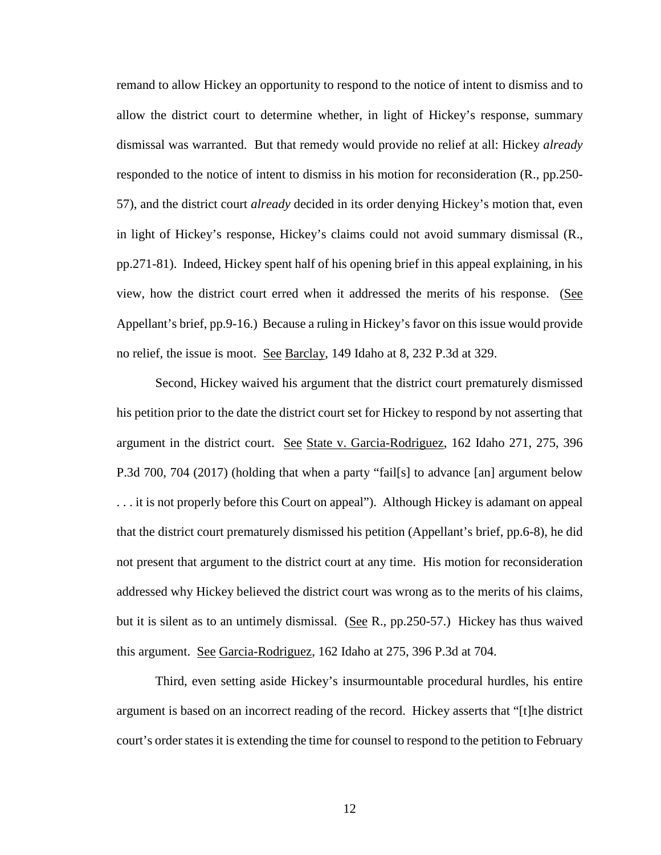remand to allow Hickey an opportunity to respond to the notice of intent to dismiss and to allow the district court to determine whether, in light of Hickey's response, summary dismissal was warranted. But that remedy would provide no relief at all: Hickey *already* responded to the notice of intent to dismiss in his motion for reconsideration (R., pp.250- 57), and the district court *already* decided in its order denying Hickey's motion that, even in light of Hickey's response, Hickey's claims could not avoid summary dismissal (R., pp.271-81). Indeed, Hickey spent half of his opening brief in this appeal explaining, in his view, how the district court erred when it addressed the merits of his response. (See Appellant's brief, pp.9-16.) Because a ruling in Hickey's favor on this issue would provide no relief, the issue is moot. See Barclay, 149 Idaho at 8, 232 P.3d at 329.

Second, Hickey waived his argument that the district court prematurely dismissed his petition prior to the date the district court set for Hickey to respond by not asserting that argument in the district court. See State v. Garcia-Rodriguez, 162 Idaho 271, 275, 396 P.3d 700, 704 (2017) (holding that when a party "fail[s] to advance [an] argument below . . . it is not properly before this Court on appeal"). Although Hickey is adamant on appeal that the district court prematurely dismissed his petition (Appellant's brief, pp.6-8), he did not present that argument to the district court at any time. His motion for reconsideration addressed why Hickey believed the district court was wrong as to the merits of his claims, but it is silent as to an untimely dismissal. (See R., pp. 250-57.) Hickey has thus waived this argument. See Garcia-Rodriguez, 162 Idaho at 275, 396 P.3d at 704.

Third, even setting aside Hickey's insurmountable procedural hurdles, his entire argument is based on an incorrect reading of the record. Hickey asserts that "[t]he district court's order states it is extending the time for counsel to respond to the petition to February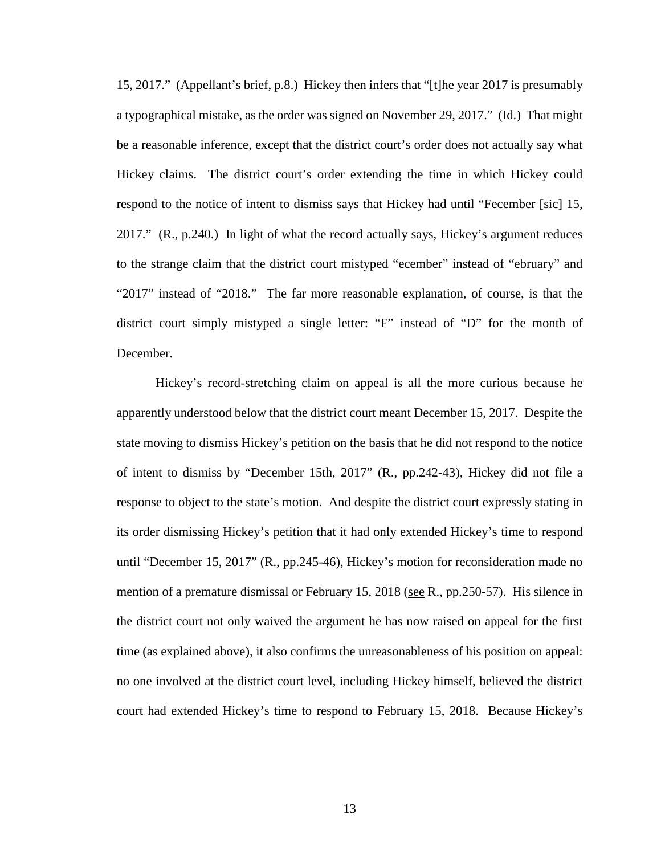15, 2017." (Appellant's brief, p.8.) Hickey then infers that "[t]he year 2017 is presumably a typographical mistake, as the order was signed on November 29, 2017." (Id.) That might be a reasonable inference, except that the district court's order does not actually say what Hickey claims. The district court's order extending the time in which Hickey could respond to the notice of intent to dismiss says that Hickey had until "Fecember [sic] 15, 2017." (R., p.240.) In light of what the record actually says, Hickey's argument reduces to the strange claim that the district court mistyped "ecember" instead of "ebruary" and "2017" instead of "2018." The far more reasonable explanation, of course, is that the district court simply mistyped a single letter: "F" instead of "D" for the month of December.

Hickey's record-stretching claim on appeal is all the more curious because he apparently understood below that the district court meant December 15, 2017. Despite the state moving to dismiss Hickey's petition on the basis that he did not respond to the notice of intent to dismiss by "December 15th, 2017" (R., pp.242-43), Hickey did not file a response to object to the state's motion. And despite the district court expressly stating in its order dismissing Hickey's petition that it had only extended Hickey's time to respond until "December 15, 2017" (R., pp.245-46), Hickey's motion for reconsideration made no mention of a premature dismissal or February 15, 2018 (see R., pp.250-57). His silence in the district court not only waived the argument he has now raised on appeal for the first time (as explained above), it also confirms the unreasonableness of his position on appeal: no one involved at the district court level, including Hickey himself, believed the district court had extended Hickey's time to respond to February 15, 2018. Because Hickey's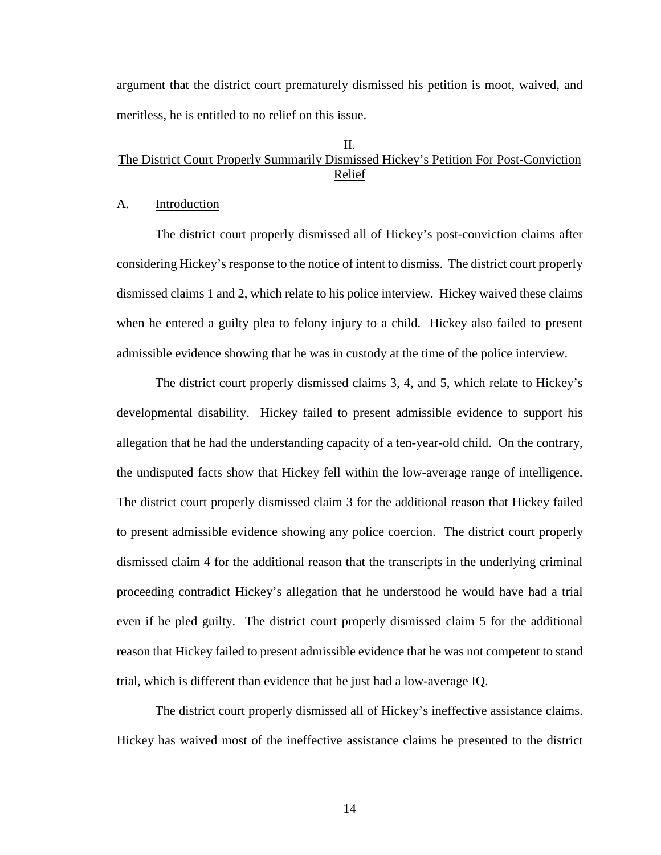argument that the district court prematurely dismissed his petition is moot, waived, and meritless, he is entitled to no relief on this issue.

# II. The District Court Properly Summarily Dismissed Hickey's Petition For Post-Conviction Relief

### A. Introduction

The district court properly dismissed all of Hickey's post-conviction claims after considering Hickey's response to the notice of intent to dismiss. The district court properly dismissed claims 1 and 2, which relate to his police interview. Hickey waived these claims when he entered a guilty plea to felony injury to a child. Hickey also failed to present admissible evidence showing that he was in custody at the time of the police interview.

The district court properly dismissed claims 3, 4, and 5, which relate to Hickey's developmental disability. Hickey failed to present admissible evidence to support his allegation that he had the understanding capacity of a ten-year-old child. On the contrary, the undisputed facts show that Hickey fell within the low-average range of intelligence. The district court properly dismissed claim 3 for the additional reason that Hickey failed to present admissible evidence showing any police coercion. The district court properly dismissed claim 4 for the additional reason that the transcripts in the underlying criminal proceeding contradict Hickey's allegation that he understood he would have had a trial even if he pled guilty. The district court properly dismissed claim 5 for the additional reason that Hickey failed to present admissible evidence that he was not competent to stand trial, which is different than evidence that he just had a low-average IQ.

The district court properly dismissed all of Hickey's ineffective assistance claims. Hickey has waived most of the ineffective assistance claims he presented to the district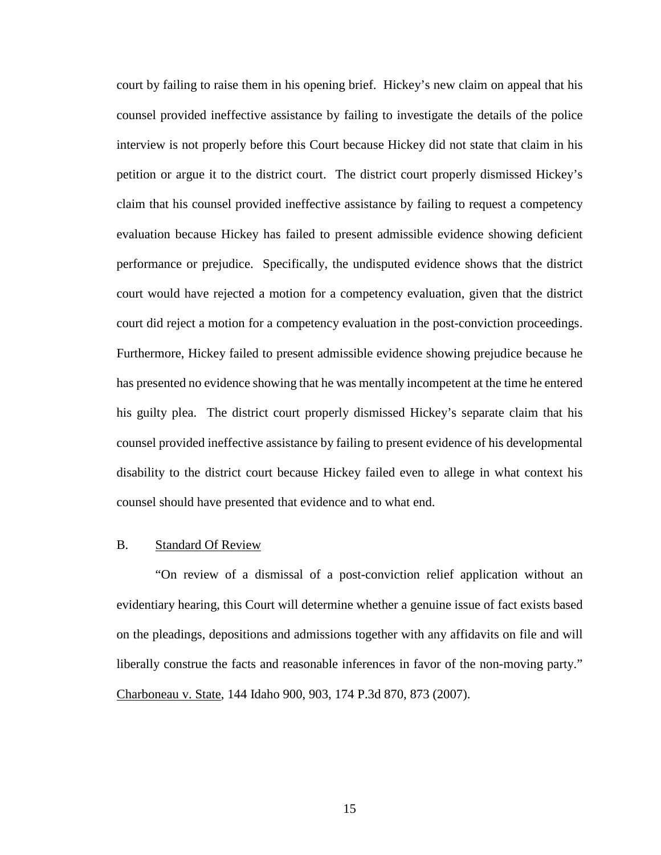court by failing to raise them in his opening brief. Hickey's new claim on appeal that his counsel provided ineffective assistance by failing to investigate the details of the police interview is not properly before this Court because Hickey did not state that claim in his petition or argue it to the district court. The district court properly dismissed Hickey's claim that his counsel provided ineffective assistance by failing to request a competency evaluation because Hickey has failed to present admissible evidence showing deficient performance or prejudice. Specifically, the undisputed evidence shows that the district court would have rejected a motion for a competency evaluation, given that the district court did reject a motion for a competency evaluation in the post-conviction proceedings. Furthermore, Hickey failed to present admissible evidence showing prejudice because he has presented no evidence showing that he was mentally incompetent at the time he entered his guilty plea. The district court properly dismissed Hickey's separate claim that his counsel provided ineffective assistance by failing to present evidence of his developmental disability to the district court because Hickey failed even to allege in what context his counsel should have presented that evidence and to what end.

#### B. Standard Of Review

 "On review of a dismissal of a post-conviction relief application without an evidentiary hearing, this Court will determine whether a genuine issue of fact exists based on the pleadings, depositions and admissions together with any affidavits on file and will liberally construe the facts and reasonable inferences in favor of the non-moving party." Charboneau v. State, 144 Idaho 900, 903, 174 P.3d 870, 873 (2007).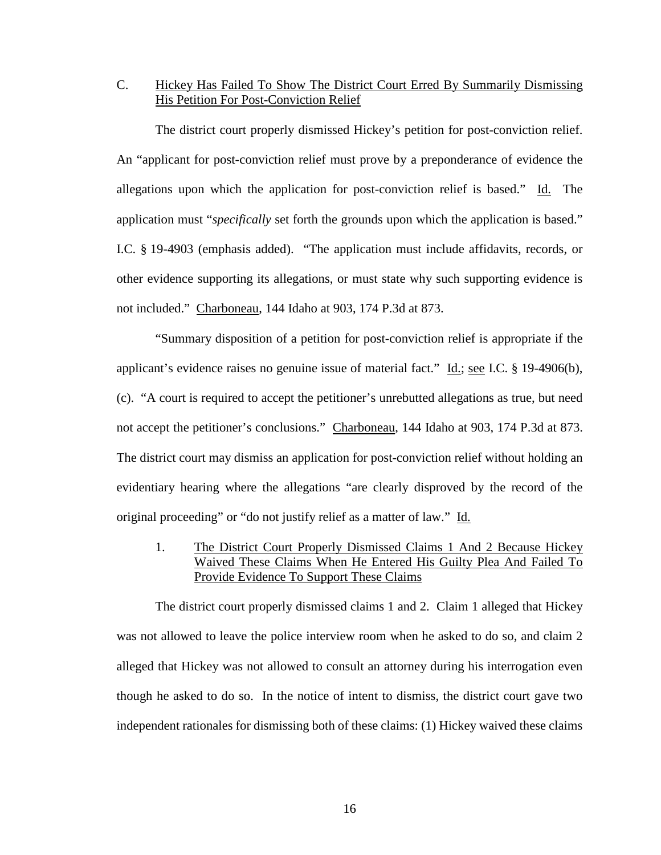# C. Hickey Has Failed To Show The District Court Erred By Summarily Dismissing His Petition For Post-Conviction Relief

The district court properly dismissed Hickey's petition for post-conviction relief. An "applicant for post-conviction relief must prove by a preponderance of evidence the allegations upon which the application for post-conviction relief is based." Id. The application must "*specifically* set forth the grounds upon which the application is based." I.C. § 19-4903 (emphasis added). "The application must include affidavits, records, or other evidence supporting its allegations, or must state why such supporting evidence is not included." Charboneau, 144 Idaho at 903, 174 P.3d at 873.

 "Summary disposition of a petition for post-conviction relief is appropriate if the applicant's evidence raises no genuine issue of material fact."  $\underline{Id}$ .; see I.C. § 19-4906(b), (c). "A court is required to accept the petitioner's unrebutted allegations as true, but need not accept the petitioner's conclusions." Charboneau, 144 Idaho at 903, 174 P.3d at 873. The district court may dismiss an application for post-conviction relief without holding an evidentiary hearing where the allegations "are clearly disproved by the record of the original proceeding" or "do not justify relief as a matter of law." Id.

1. The District Court Properly Dismissed Claims 1 And 2 Because Hickey Waived These Claims When He Entered His Guilty Plea And Failed To Provide Evidence To Support These Claims

The district court properly dismissed claims 1 and 2. Claim 1 alleged that Hickey was not allowed to leave the police interview room when he asked to do so, and claim 2 alleged that Hickey was not allowed to consult an attorney during his interrogation even though he asked to do so. In the notice of intent to dismiss, the district court gave two independent rationales for dismissing both of these claims: (1) Hickey waived these claims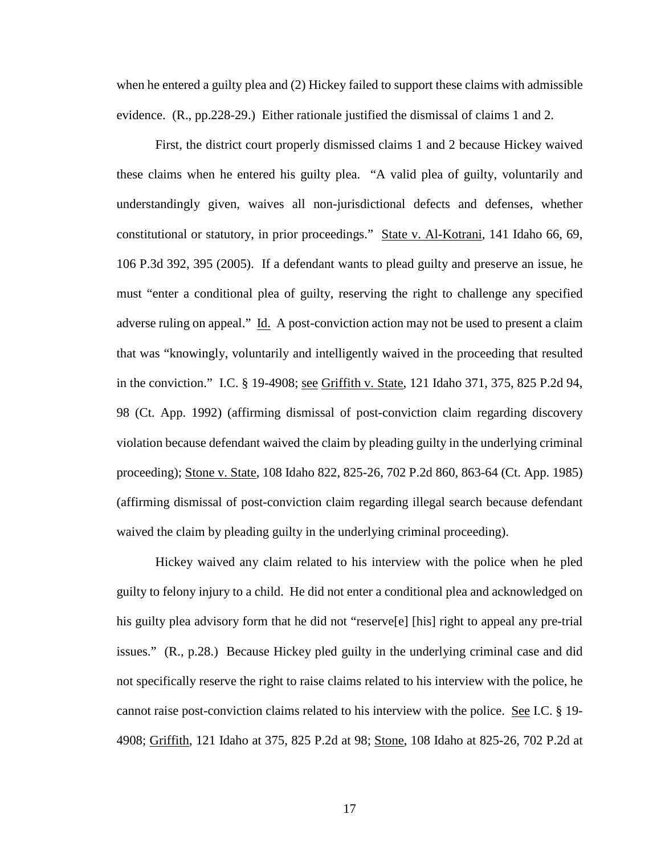when he entered a guilty plea and (2) Hickey failed to support these claims with admissible evidence. (R., pp.228-29.) Either rationale justified the dismissal of claims 1 and 2.

First, the district court properly dismissed claims 1 and 2 because Hickey waived these claims when he entered his guilty plea. "A valid plea of guilty, voluntarily and understandingly given, waives all non-jurisdictional defects and defenses, whether constitutional or statutory, in prior proceedings." State v. Al-Kotrani, 141 Idaho 66, 69, 106 P.3d 392, 395 (2005). If a defendant wants to plead guilty and preserve an issue, he must "enter a conditional plea of guilty, reserving the right to challenge any specified adverse ruling on appeal." Id. A post-conviction action may not be used to present a claim that was "knowingly, voluntarily and intelligently waived in the proceeding that resulted in the conviction." I.C. § 19-4908; see Griffith v. State, 121 Idaho 371, 375, 825 P.2d 94, 98 (Ct. App. 1992) (affirming dismissal of post-conviction claim regarding discovery violation because defendant waived the claim by pleading guilty in the underlying criminal proceeding); Stone v. State, 108 Idaho 822, 825-26, 702 P.2d 860, 863-64 (Ct. App. 1985) (affirming dismissal of post-conviction claim regarding illegal search because defendant waived the claim by pleading guilty in the underlying criminal proceeding).

Hickey waived any claim related to his interview with the police when he pled guilty to felony injury to a child. He did not enter a conditional plea and acknowledged on his guilty plea advisory form that he did not "reserve[e] [his] right to appeal any pre-trial issues." (R., p.28.) Because Hickey pled guilty in the underlying criminal case and did not specifically reserve the right to raise claims related to his interview with the police, he cannot raise post-conviction claims related to his interview with the police. See I.C. § 19- 4908; Griffith, 121 Idaho at 375, 825 P.2d at 98; Stone, 108 Idaho at 825-26, 702 P.2d at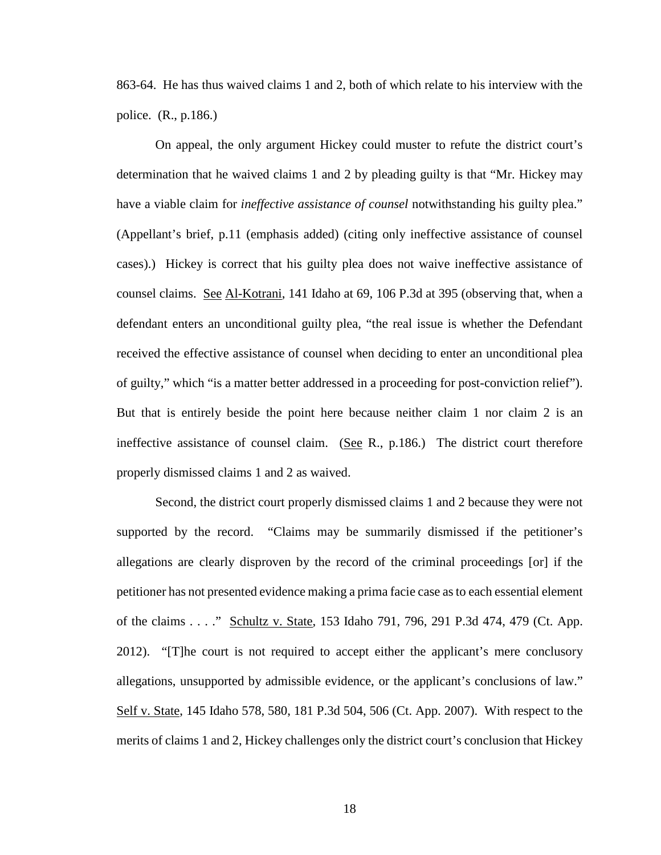863-64. He has thus waived claims 1 and 2, both of which relate to his interview with the police. (R., p.186.)

On appeal, the only argument Hickey could muster to refute the district court's determination that he waived claims 1 and 2 by pleading guilty is that "Mr. Hickey may have a viable claim for *ineffective assistance of counsel* notwithstanding his guilty plea." (Appellant's brief, p.11 (emphasis added) (citing only ineffective assistance of counsel cases).) Hickey is correct that his guilty plea does not waive ineffective assistance of counsel claims. See Al-Kotrani, 141 Idaho at 69, 106 P.3d at 395 (observing that, when a defendant enters an unconditional guilty plea, "the real issue is whether the Defendant received the effective assistance of counsel when deciding to enter an unconditional plea of guilty," which "is a matter better addressed in a proceeding for post-conviction relief"). But that is entirely beside the point here because neither claim 1 nor claim 2 is an ineffective assistance of counsel claim. (See R., p.186.) The district court therefore properly dismissed claims 1 and 2 as waived.

Second, the district court properly dismissed claims 1 and 2 because they were not supported by the record. "Claims may be summarily dismissed if the petitioner's allegations are clearly disproven by the record of the criminal proceedings [or] if the petitioner has not presented evidence making a prima facie case as to each essential element of the claims . . . ." Schultz v. State, 153 Idaho 791, 796, 291 P.3d 474, 479 (Ct. App. 2012). "[T]he court is not required to accept either the applicant's mere conclusory allegations, unsupported by admissible evidence, or the applicant's conclusions of law." Self v. State, 145 Idaho 578, 580, 181 P.3d 504, 506 (Ct. App. 2007). With respect to the merits of claims 1 and 2, Hickey challenges only the district court's conclusion that Hickey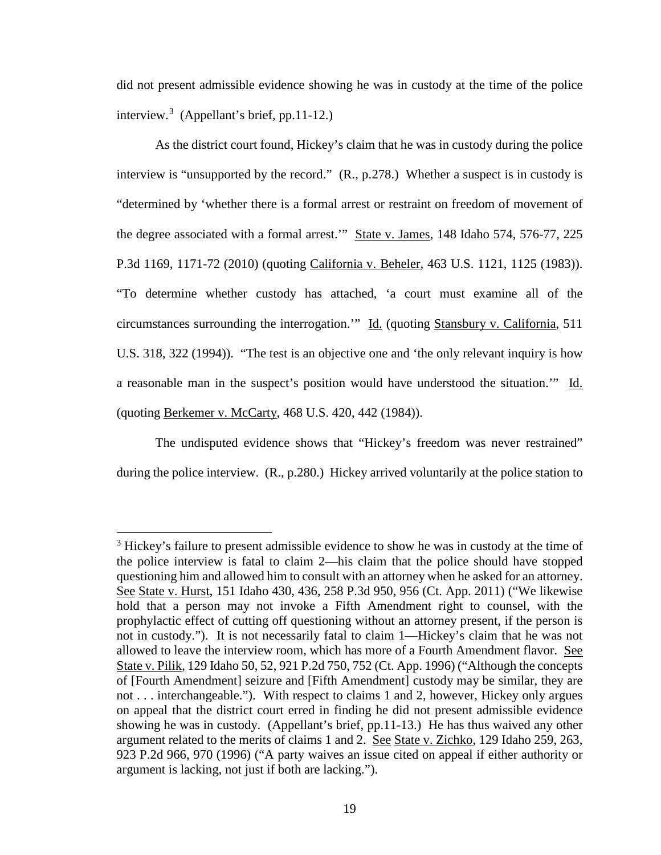did not present admissible evidence showing he was in custody at the time of the police interview.[3](#page--1-1) (Appellant's brief, pp.11-12.)

As the district court found, Hickey's claim that he was in custody during the police interview is "unsupported by the record." (R., p.278.) Whether a suspect is in custody is "determined by 'whether there is a formal arrest or restraint on freedom of movement of the degree associated with a formal arrest.'" State v. James, 148 Idaho 574, 576-77, 225 P.3d 1169, 1171-72 (2010) (quoting California v. Beheler, 463 U.S. 1121, 1125 (1983)). "To determine whether custody has attached, 'a court must examine all of the circumstances surrounding the interrogation.'" Id. (quoting Stansbury v. California, 511 U.S. 318, 322 (1994)). "The test is an objective one and 'the only relevant inquiry is how a reasonable man in the suspect's position would have understood the situation.'" Id. (quoting Berkemer v. McCarty, 468 U.S. 420, 442 (1984)).

The undisputed evidence shows that "Hickey's freedom was never restrained" during the police interview. (R., p.280.) Hickey arrived voluntarily at the police station to

 $\overline{a}$ 

 $3$  Hickey's failure to present admissible evidence to show he was in custody at the time of the police interview is fatal to claim 2—his claim that the police should have stopped questioning him and allowed him to consult with an attorney when he asked for an attorney. See State v. Hurst, 151 Idaho 430, 436, 258 P.3d 950, 956 (Ct. App. 2011) ("We likewise hold that a person may not invoke a Fifth Amendment right to counsel, with the prophylactic effect of cutting off questioning without an attorney present, if the person is not in custody."). It is not necessarily fatal to claim 1—Hickey's claim that he was not allowed to leave the interview room, which has more of a Fourth Amendment flavor. See State v. Pilik, 129 Idaho 50, 52, 921 P.2d 750, 752 (Ct. App. 1996) ("Although the concepts of [Fourth Amendment] seizure and [Fifth Amendment] custody may be similar, they are not . . . interchangeable."). With respect to claims 1 and 2, however, Hickey only argues on appeal that the district court erred in finding he did not present admissible evidence showing he was in custody. (Appellant's brief, pp.11-13.) He has thus waived any other argument related to the merits of claims 1 and 2. See State v. Zichko, 129 Idaho 259, 263, 923 P.2d 966, 970 (1996) ("A party waives an issue cited on appeal if either authority or argument is lacking, not just if both are lacking.").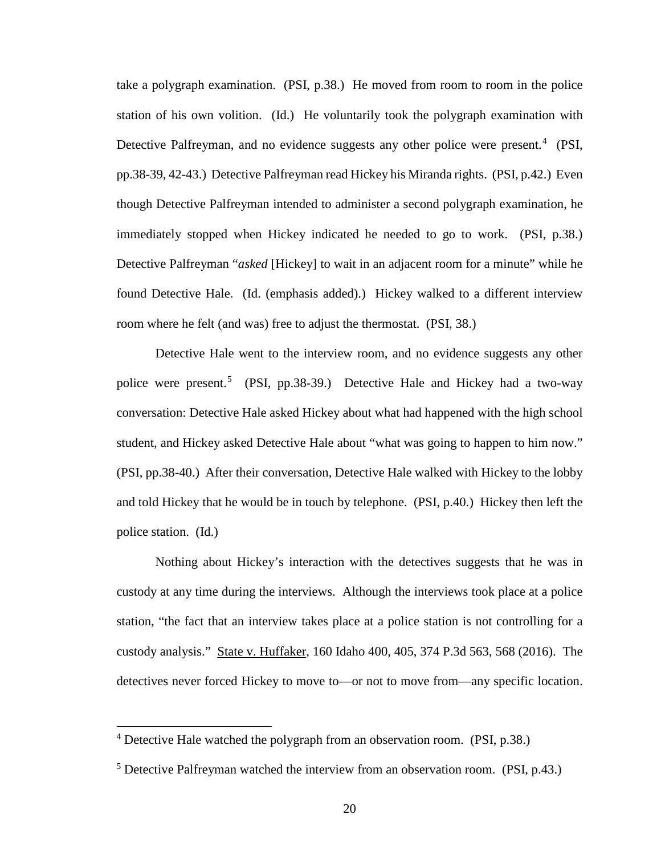take a polygraph examination. (PSI, p.38.) He moved from room to room in the police station of his own volition. (Id.) He voluntarily took the polygraph examination with Detective Palfreyman, and no evidence suggests any other police were present.<sup>[4](#page--1-2)</sup> (PSI, pp.38-39, 42-43.) Detective Palfreyman read Hickey his Miranda rights. (PSI, p.42.) Even though Detective Palfreyman intended to administer a second polygraph examination, he immediately stopped when Hickey indicated he needed to go to work. (PSI, p.38.) Detective Palfreyman "*asked* [Hickey] to wait in an adjacent room for a minute" while he found Detective Hale. (Id. (emphasis added).) Hickey walked to a different interview room where he felt (and was) free to adjust the thermostat. (PSI, 38.)

Detective Hale went to the interview room, and no evidence suggests any other police were present.<sup>[5](#page--1-0)</sup> (PSI, pp.38-39.) Detective Hale and Hickey had a two-way conversation: Detective Hale asked Hickey about what had happened with the high school student, and Hickey asked Detective Hale about "what was going to happen to him now." (PSI, pp.38-40.) After their conversation, Detective Hale walked with Hickey to the lobby and told Hickey that he would be in touch by telephone. (PSI, p.40.) Hickey then left the police station. (Id.)

Nothing about Hickey's interaction with the detectives suggests that he was in custody at any time during the interviews. Although the interviews took place at a police station, "the fact that an interview takes place at a police station is not controlling for a custody analysis." State v. Huffaker, 160 Idaho 400, 405, 374 P.3d 563, 568 (2016). The detectives never forced Hickey to move to—or not to move from—any specific location.

 $\overline{a}$ 

<sup>&</sup>lt;sup>4</sup> Detective Hale watched the polygraph from an observation room. (PSI, p.38.)

<sup>5</sup> Detective Palfreyman watched the interview from an observation room. (PSI, p.43.)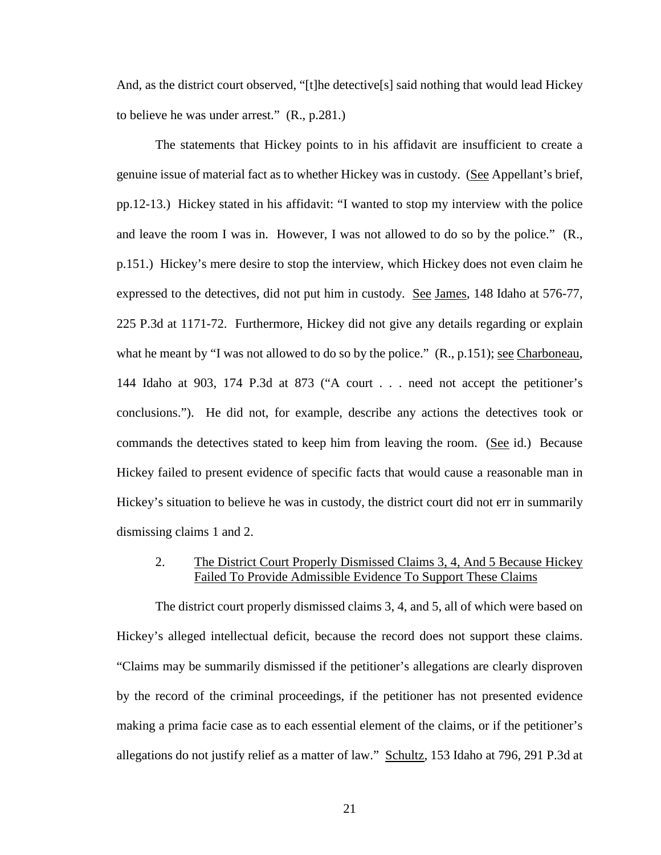And, as the district court observed, "[t]he detective[s] said nothing that would lead Hickey to believe he was under arrest." (R., p.281.)

The statements that Hickey points to in his affidavit are insufficient to create a genuine issue of material fact as to whether Hickey was in custody. (See Appellant's brief, pp.12-13.) Hickey stated in his affidavit: "I wanted to stop my interview with the police and leave the room I was in. However, I was not allowed to do so by the police." (R., p.151.) Hickey's mere desire to stop the interview, which Hickey does not even claim he expressed to the detectives, did not put him in custody. <u>See James</u>, 148 Idaho at 576-77, 225 P.3d at 1171-72. Furthermore, Hickey did not give any details regarding or explain what he meant by "I was not allowed to do so by the police."  $(R., p.151)$ ; see Charboneau, 144 Idaho at 903, 174 P.3d at 873 ("A court . . . need not accept the petitioner's conclusions."). He did not, for example, describe any actions the detectives took or commands the detectives stated to keep him from leaving the room. (See id.) Because Hickey failed to present evidence of specific facts that would cause a reasonable man in Hickey's situation to believe he was in custody, the district court did not err in summarily dismissing claims 1 and 2.

# 2. The District Court Properly Dismissed Claims 3, 4, And 5 Because Hickey Failed To Provide Admissible Evidence To Support These Claims

The district court properly dismissed claims 3, 4, and 5, all of which were based on Hickey's alleged intellectual deficit, because the record does not support these claims. "Claims may be summarily dismissed if the petitioner's allegations are clearly disproven by the record of the criminal proceedings, if the petitioner has not presented evidence making a prima facie case as to each essential element of the claims, or if the petitioner's allegations do not justify relief as a matter of law." Schultz, 153 Idaho at 796, 291 P.3d at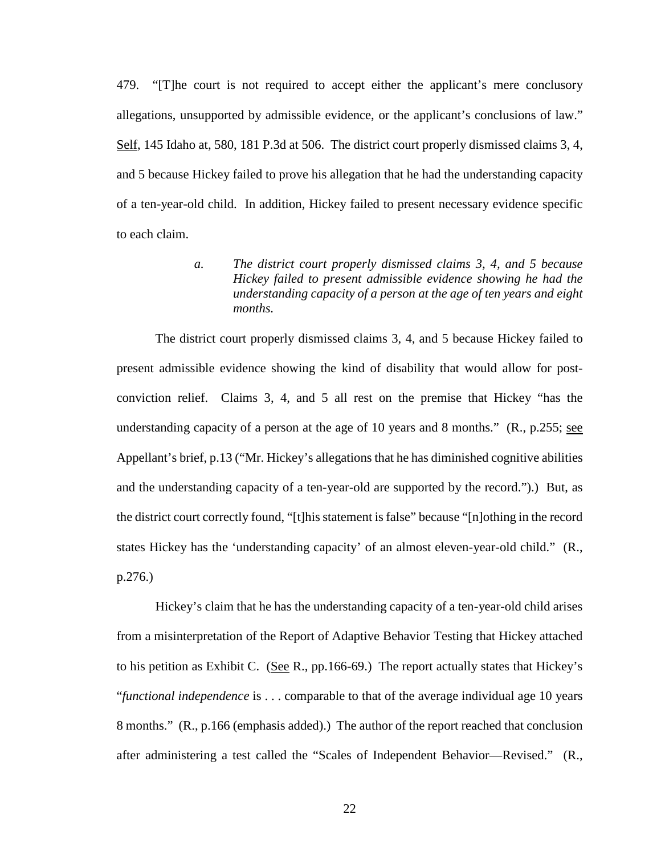479. "[T]he court is not required to accept either the applicant's mere conclusory allegations, unsupported by admissible evidence, or the applicant's conclusions of law." Self, 145 Idaho at, 580, 181 P.3d at 506. The district court properly dismissed claims 3, 4, and 5 because Hickey failed to prove his allegation that he had the understanding capacity of a ten-year-old child. In addition, Hickey failed to present necessary evidence specific to each claim.

> *a. The district court properly dismissed claims 3, 4, and 5 because Hickey failed to present admissible evidence showing he had the understanding capacity of a person at the age of ten years and eight months.*

The district court properly dismissed claims 3, 4, and 5 because Hickey failed to present admissible evidence showing the kind of disability that would allow for postconviction relief. Claims 3, 4, and 5 all rest on the premise that Hickey "has the understanding capacity of a person at the age of 10 years and 8 months." (R., p.255; see Appellant's brief, p.13 ("Mr. Hickey's allegations that he has diminished cognitive abilities and the understanding capacity of a ten-year-old are supported by the record.").) But, as the district court correctly found, "[t]his statement is false" because "[n]othing in the record states Hickey has the 'understanding capacity' of an almost eleven-year-old child." (R., p.276.)

Hickey's claim that he has the understanding capacity of a ten-year-old child arises from a misinterpretation of the Report of Adaptive Behavior Testing that Hickey attached to his petition as Exhibit C. (See R., pp.166-69.) The report actually states that Hickey's "*functional independence* is . . . comparable to that of the average individual age 10 years 8 months." (R., p.166 (emphasis added).) The author of the report reached that conclusion after administering a test called the "Scales of Independent Behavior—Revised." (R.,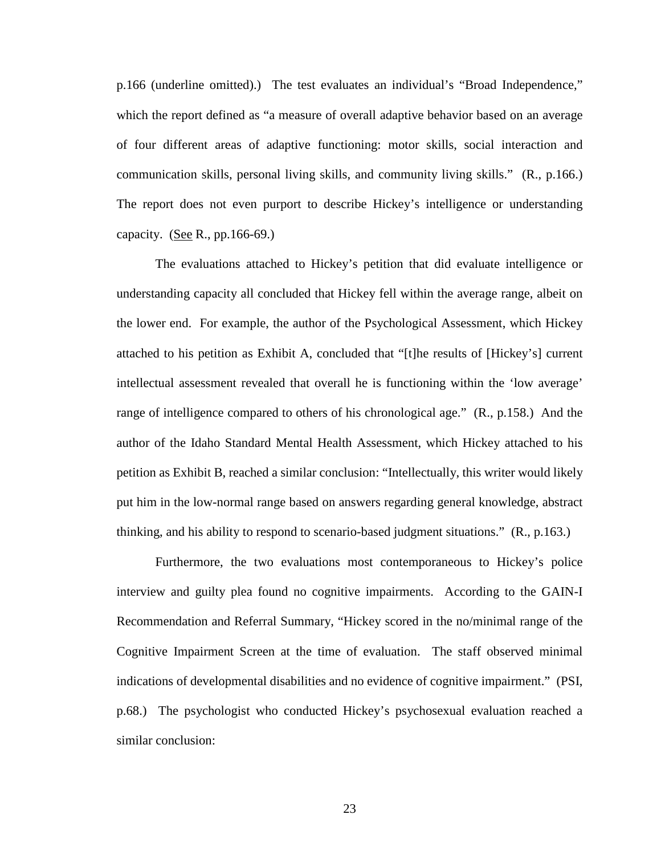p.166 (underline omitted).) The test evaluates an individual's "Broad Independence," which the report defined as "a measure of overall adaptive behavior based on an average of four different areas of adaptive functioning: motor skills, social interaction and communication skills, personal living skills, and community living skills." (R., p.166.) The report does not even purport to describe Hickey's intelligence or understanding capacity. (See R.,  $pp.166-69$ .)

The evaluations attached to Hickey's petition that did evaluate intelligence or understanding capacity all concluded that Hickey fell within the average range, albeit on the lower end. For example, the author of the Psychological Assessment, which Hickey attached to his petition as Exhibit A, concluded that "[t]he results of [Hickey's] current intellectual assessment revealed that overall he is functioning within the 'low average' range of intelligence compared to others of his chronological age." (R., p.158.) And the author of the Idaho Standard Mental Health Assessment, which Hickey attached to his petition as Exhibit B, reached a similar conclusion: "Intellectually, this writer would likely put him in the low-normal range based on answers regarding general knowledge, abstract thinking, and his ability to respond to scenario-based judgment situations." (R., p.163.)

Furthermore, the two evaluations most contemporaneous to Hickey's police interview and guilty plea found no cognitive impairments. According to the GAIN-I Recommendation and Referral Summary, "Hickey scored in the no/minimal range of the Cognitive Impairment Screen at the time of evaluation. The staff observed minimal indications of developmental disabilities and no evidence of cognitive impairment." (PSI, p.68.) The psychologist who conducted Hickey's psychosexual evaluation reached a similar conclusion: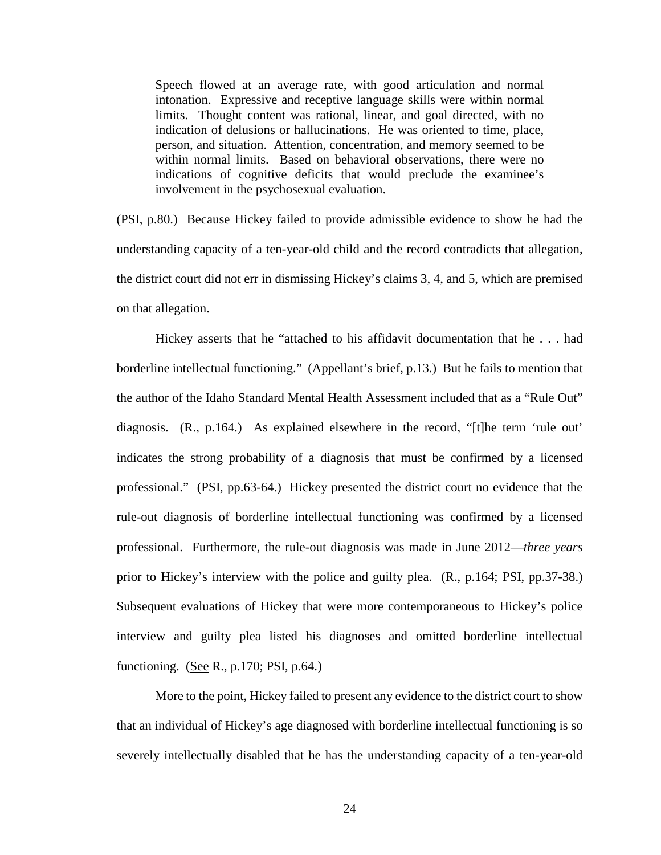Speech flowed at an average rate, with good articulation and normal intonation. Expressive and receptive language skills were within normal limits. Thought content was rational, linear, and goal directed, with no indication of delusions or hallucinations. He was oriented to time, place, person, and situation. Attention, concentration, and memory seemed to be within normal limits. Based on behavioral observations, there were no indications of cognitive deficits that would preclude the examinee's involvement in the psychosexual evaluation.

(PSI, p.80.) Because Hickey failed to provide admissible evidence to show he had the understanding capacity of a ten-year-old child and the record contradicts that allegation, the district court did not err in dismissing Hickey's claims 3, 4, and 5, which are premised on that allegation.

Hickey asserts that he "attached to his affidavit documentation that he . . . had borderline intellectual functioning." (Appellant's brief, p.13.) But he fails to mention that the author of the Idaho Standard Mental Health Assessment included that as a "Rule Out" diagnosis. (R., p.164.) As explained elsewhere in the record, "[t]he term 'rule out' indicates the strong probability of a diagnosis that must be confirmed by a licensed professional." (PSI, pp.63-64.) Hickey presented the district court no evidence that the rule-out diagnosis of borderline intellectual functioning was confirmed by a licensed professional. Furthermore, the rule-out diagnosis was made in June 2012—*three years* prior to Hickey's interview with the police and guilty plea. (R., p.164; PSI, pp.37-38.) Subsequent evaluations of Hickey that were more contemporaneous to Hickey's police interview and guilty plea listed his diagnoses and omitted borderline intellectual functioning. (See R., p.170; PSI, p.64.)

More to the point, Hickey failed to present any evidence to the district court to show that an individual of Hickey's age diagnosed with borderline intellectual functioning is so severely intellectually disabled that he has the understanding capacity of a ten-year-old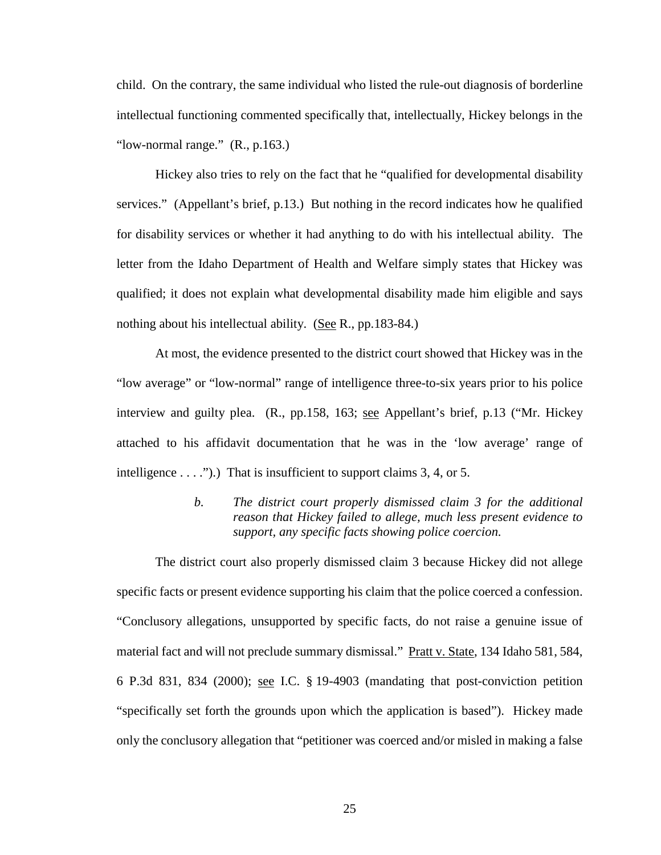child. On the contrary, the same individual who listed the rule-out diagnosis of borderline intellectual functioning commented specifically that, intellectually, Hickey belongs in the "low-normal range." (R., p.163.)

Hickey also tries to rely on the fact that he "qualified for developmental disability services." (Appellant's brief, p.13.) But nothing in the record indicates how he qualified for disability services or whether it had anything to do with his intellectual ability. The letter from the Idaho Department of Health and Welfare simply states that Hickey was qualified; it does not explain what developmental disability made him eligible and says nothing about his intellectual ability.  $(See R., pp.183-84.)$ 

At most, the evidence presented to the district court showed that Hickey was in the "low average" or "low-normal" range of intelligence three-to-six years prior to his police interview and guilty plea. (R., pp.158, 163; see Appellant's brief, p.13 ("Mr. Hickey attached to his affidavit documentation that he was in the 'low average' range of intelligence  $\dots$ .").) That is insufficient to support claims 3, 4, or 5.

> *b. The district court properly dismissed claim 3 for the additional reason that Hickey failed to allege, much less present evidence to support, any specific facts showing police coercion.*

The district court also properly dismissed claim 3 because Hickey did not allege specific facts or present evidence supporting his claim that the police coerced a confession. "Conclusory allegations, unsupported by specific facts, do not raise a genuine issue of material fact and will not preclude summary dismissal." Pratt v. State, 134 Idaho 581, 584, 6 P.3d 831, 834 (2000); see I.C. § 19-4903 (mandating that post-conviction petition "specifically set forth the grounds upon which the application is based"). Hickey made only the conclusory allegation that "petitioner was coerced and/or misled in making a false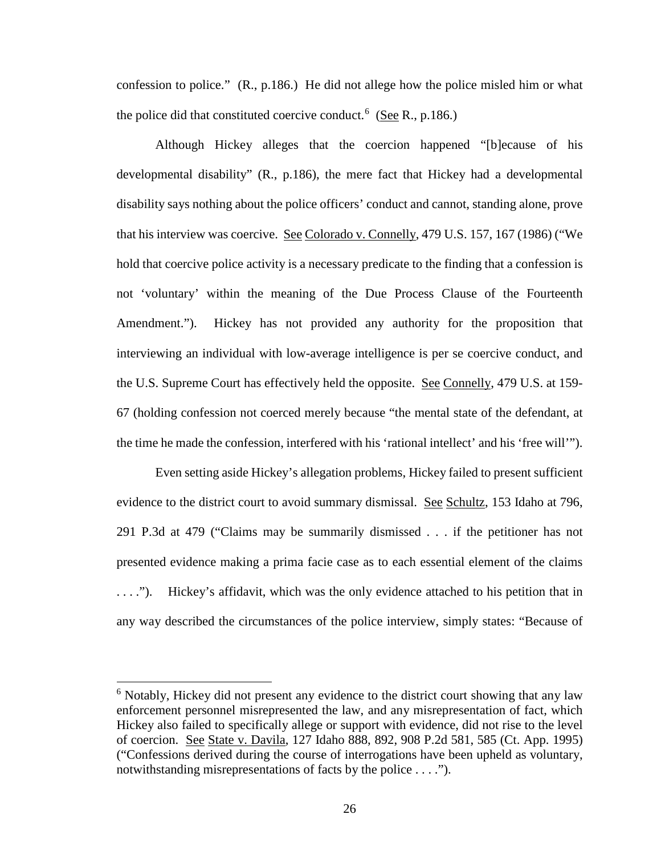confession to police." (R., p.186.) He did not allege how the police misled him or what the police did that constituted coercive conduct.<sup>[6](#page--1-3)</sup> (See R., p.186.)

Although Hickey alleges that the coercion happened "[b]ecause of his developmental disability" (R., p.186), the mere fact that Hickey had a developmental disability says nothing about the police officers' conduct and cannot, standing alone, prove that his interview was coercive. See Colorado v. Connelly, 479 U.S. 157, 167 (1986) ("We hold that coercive police activity is a necessary predicate to the finding that a confession is not 'voluntary' within the meaning of the Due Process Clause of the Fourteenth Amendment."). Hickey has not provided any authority for the proposition that interviewing an individual with low-average intelligence is per se coercive conduct, and the U.S. Supreme Court has effectively held the opposite. See Connelly, 479 U.S. at 159- 67 (holding confession not coerced merely because "the mental state of the defendant, at the time he made the confession, interfered with his 'rational intellect' and his 'free will'").

Even setting aside Hickey's allegation problems, Hickey failed to present sufficient evidence to the district court to avoid summary dismissal. See Schultz, 153 Idaho at 796, 291 P.3d at 479 ("Claims may be summarily dismissed . . . if the petitioner has not presented evidence making a prima facie case as to each essential element of the claims . . . ."). Hickey's affidavit, which was the only evidence attached to his petition that in any way described the circumstances of the police interview, simply states: "Because of

 $\overline{a}$ 

<sup>&</sup>lt;sup>6</sup> Notably, Hickey did not present any evidence to the district court showing that any law enforcement personnel misrepresented the law, and any misrepresentation of fact, which Hickey also failed to specifically allege or support with evidence, did not rise to the level of coercion. See State v. Davila, 127 Idaho 888, 892, 908 P.2d 581, 585 (Ct. App. 1995) ("Confessions derived during the course of interrogations have been upheld as voluntary, notwithstanding misrepresentations of facts by the police . . . .").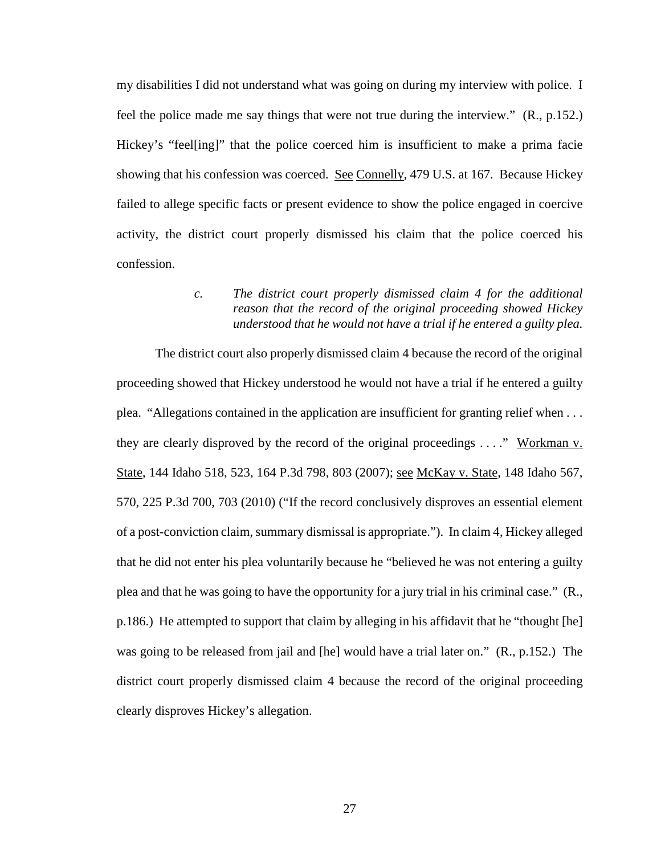my disabilities I did not understand what was going on during my interview with police. I feel the police made me say things that were not true during the interview." (R., p.152.) Hickey's "feel[ing]" that the police coerced him is insufficient to make a prima facie showing that his confession was coerced. See Connelly, 479 U.S. at 167. Because Hickey failed to allege specific facts or present evidence to show the police engaged in coercive activity, the district court properly dismissed his claim that the police coerced his confession.

# *c. The district court properly dismissed claim 4 for the additional reason that the record of the original proceeding showed Hickey understood that he would not have a trial if he entered a guilty plea.*

The district court also properly dismissed claim 4 because the record of the original proceeding showed that Hickey understood he would not have a trial if he entered a guilty plea. "Allegations contained in the application are insufficient for granting relief when . . . they are clearly disproved by the record of the original proceedings . . . ." Workman v. State, 144 Idaho 518, 523, 164 P.3d 798, 803 (2007); see McKay v. State, 148 Idaho 567, 570, 225 P.3d 700, 703 (2010) ("If the record conclusively disproves an essential element of a post-conviction claim, summary dismissal is appropriate."). In claim 4, Hickey alleged that he did not enter his plea voluntarily because he "believed he was not entering a guilty plea and that he was going to have the opportunity for a jury trial in his criminal case." (R., p.186.) He attempted to support that claim by alleging in his affidavit that he "thought [he] was going to be released from jail and [he] would have a trial later on." (R., p.152.) The district court properly dismissed claim 4 because the record of the original proceeding clearly disproves Hickey's allegation.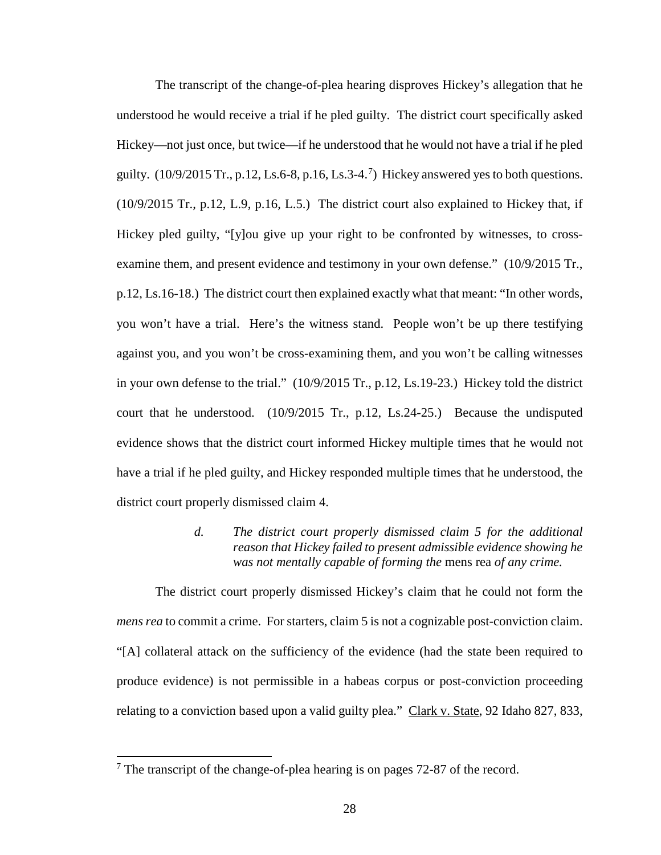The transcript of the change-of-plea hearing disproves Hickey's allegation that he understood he would receive a trial if he pled guilty. The district court specifically asked Hickey—not just once, but twice—if he understood that he would not have a trial if he pled guilty.  $(10/9/2015 \text{ Tr.}, p.12, Ls.6-8, p.16, Ls.3-4.^7)$  $(10/9/2015 \text{ Tr.}, p.12, Ls.6-8, p.16, Ls.3-4.^7)$  $(10/9/2015 \text{ Tr.}, p.12, Ls.6-8, p.16, Ls.3-4.^7)$  Hickey answered yes to both questions. (10/9/2015 Tr., p.12, L.9, p.16, L.5.) The district court also explained to Hickey that, if Hickey pled guilty, "[y]ou give up your right to be confronted by witnesses, to crossexamine them, and present evidence and testimony in your own defense." (10/9/2015 Tr., p.12, Ls.16-18.) The district court then explained exactly what that meant: "In other words, you won't have a trial. Here's the witness stand. People won't be up there testifying against you, and you won't be cross-examining them, and you won't be calling witnesses in your own defense to the trial." (10/9/2015 Tr., p.12, Ls.19-23.) Hickey told the district court that he understood. (10/9/2015 Tr., p.12, Ls.24-25.) Because the undisputed evidence shows that the district court informed Hickey multiple times that he would not have a trial if he pled guilty, and Hickey responded multiple times that he understood, the district court properly dismissed claim 4.

> *d. The district court properly dismissed claim 5 for the additional reason that Hickey failed to present admissible evidence showing he was not mentally capable of forming the* mens rea *of any crime.*

The district court properly dismissed Hickey's claim that he could not form the *mens rea* to commit a crime. For starters, claim 5 is not a cognizable post-conviction claim. "[A] collateral attack on the sufficiency of the evidence (had the state been required to produce evidence) is not permissible in a habeas corpus or post-conviction proceeding relating to a conviction based upon a valid guilty plea." Clark v. State, 92 Idaho 827, 833,

 $\overline{a}$ 

 $7$  The transcript of the change-of-plea hearing is on pages 72-87 of the record.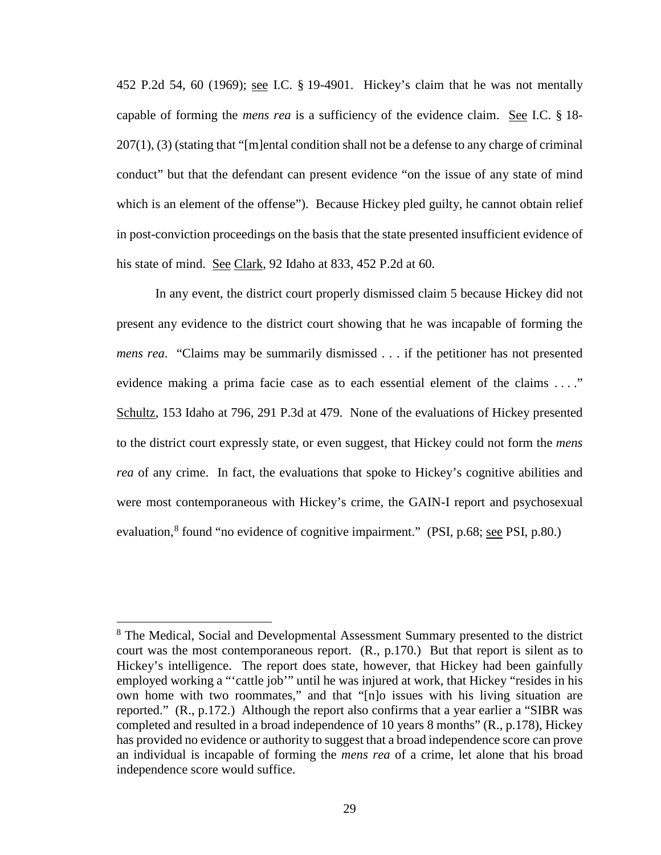452 P.2d 54, 60 (1969); see I.C. § 19-4901. Hickey's claim that he was not mentally capable of forming the *mens rea* is a sufficiency of the evidence claim. See I.C. § 18- 207(1), (3) (stating that "[m]ental condition shall not be a defense to any charge of criminal conduct" but that the defendant can present evidence "on the issue of any state of mind which is an element of the offense"). Because Hickey pled guilty, he cannot obtain relief in post-conviction proceedings on the basis that the state presented insufficient evidence of his state of mind. See Clark, 92 Idaho at 833, 452 P.2d at 60.

In any event, the district court properly dismissed claim 5 because Hickey did not present any evidence to the district court showing that he was incapable of forming the *mens rea*. "Claims may be summarily dismissed . . . if the petitioner has not presented evidence making a prima facie case as to each essential element of the claims . . . ." Schultz, 153 Idaho at 796, 291 P.3d at 479. None of the evaluations of Hickey presented to the district court expressly state, or even suggest, that Hickey could not form the *mens rea* of any crime. In fact, the evaluations that spoke to Hickey's cognitive abilities and were most contemporaneous with Hickey's crime, the GAIN-I report and psychosexual evaluation,<sup>[8](#page--1-4)</sup> found "no evidence of cognitive impairment." (PSI, p.68; see PSI, p.80.)

 $\overline{a}$ 

<sup>8</sup> The Medical, Social and Developmental Assessment Summary presented to the district court was the most contemporaneous report. (R., p.170.) But that report is silent as to Hickey's intelligence. The report does state, however, that Hickey had been gainfully employed working a "'cattle job'" until he was injured at work, that Hickey "resides in his own home with two roommates," and that "[n]o issues with his living situation are reported." (R., p.172.) Although the report also confirms that a year earlier a "SIBR was completed and resulted in a broad independence of 10 years 8 months" (R., p.178), Hickey has provided no evidence or authority to suggest that a broad independence score can prove an individual is incapable of forming the *mens rea* of a crime, let alone that his broad independence score would suffice.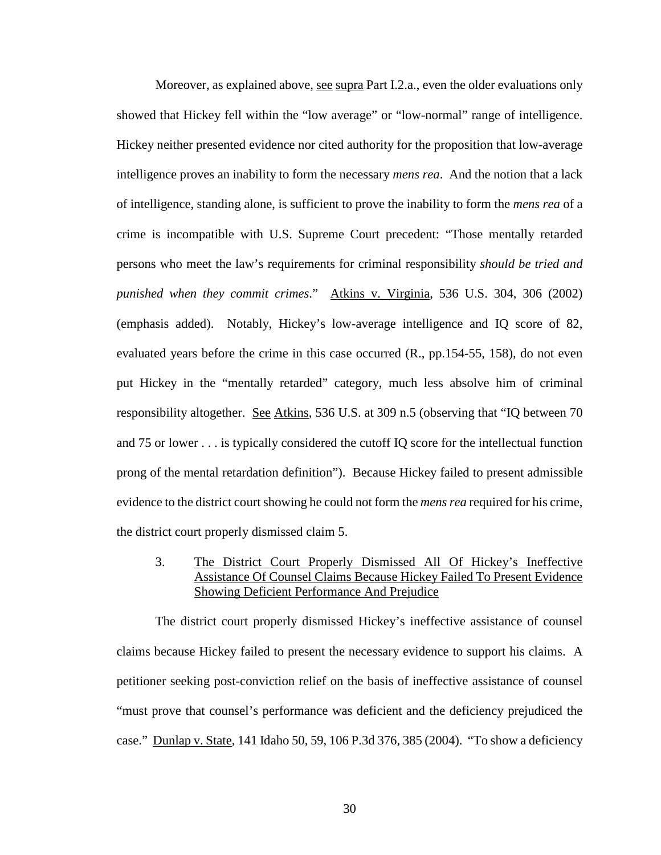Moreover, as explained above, see supra Part I.2.a., even the older evaluations only showed that Hickey fell within the "low average" or "low-normal" range of intelligence. Hickey neither presented evidence nor cited authority for the proposition that low-average intelligence proves an inability to form the necessary *mens rea*. And the notion that a lack of intelligence, standing alone, is sufficient to prove the inability to form the *mens rea* of a crime is incompatible with U.S. Supreme Court precedent: "Those mentally retarded persons who meet the law's requirements for criminal responsibility *should be tried and punished when they commit crimes*." Atkins v. Virginia, 536 U.S. 304, 306 (2002) (emphasis added). Notably, Hickey's low-average intelligence and IQ score of 82, evaluated years before the crime in this case occurred (R., pp.154-55, 158), do not even put Hickey in the "mentally retarded" category, much less absolve him of criminal responsibility altogether. See Atkins, 536 U.S. at 309 n.5 (observing that "IQ between 70 and 75 or lower . . . is typically considered the cutoff IQ score for the intellectual function prong of the mental retardation definition"). Because Hickey failed to present admissible evidence to the district court showing he could not form the *mens rea* required for his crime, the district court properly dismissed claim 5.

3. The District Court Properly Dismissed All Of Hickey's Ineffective Assistance Of Counsel Claims Because Hickey Failed To Present Evidence Showing Deficient Performance And Prejudice

The district court properly dismissed Hickey's ineffective assistance of counsel claims because Hickey failed to present the necessary evidence to support his claims. A petitioner seeking post-conviction relief on the basis of ineffective assistance of counsel "must prove that counsel's performance was deficient and the deficiency prejudiced the case." Dunlap v. State, 141 Idaho 50, 59, 106 P.3d 376, 385 (2004). "To show a deficiency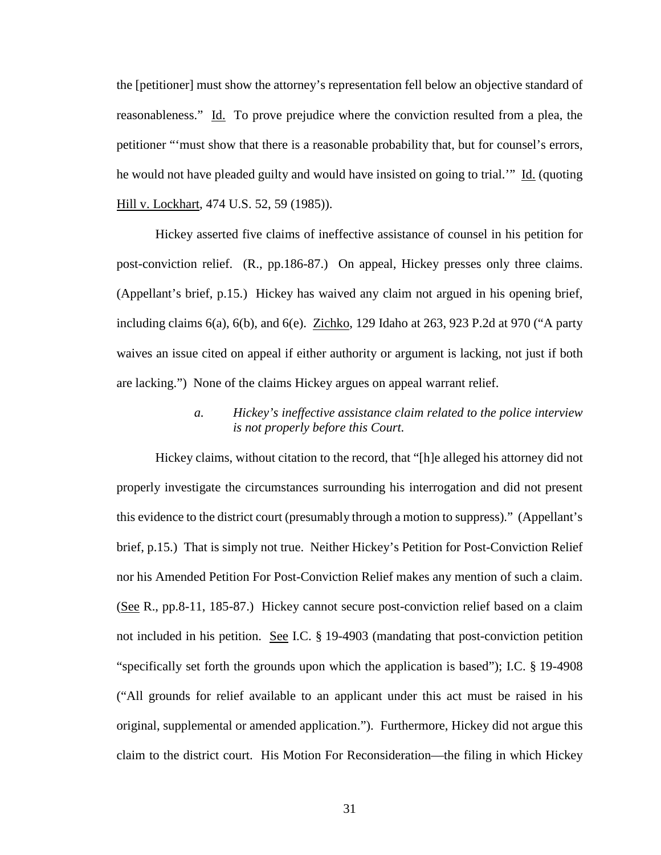the [petitioner] must show the attorney's representation fell below an objective standard of reasonableness." Id. To prove prejudice where the conviction resulted from a plea, the petitioner "'must show that there is a reasonable probability that, but for counsel's errors, he would not have pleaded guilty and would have insisted on going to trial.'" Id. (quoting Hill v. Lockhart, 474 U.S. 52, 59 (1985)).

Hickey asserted five claims of ineffective assistance of counsel in his petition for post-conviction relief. (R., pp.186-87.) On appeal, Hickey presses only three claims. (Appellant's brief, p.15.) Hickey has waived any claim not argued in his opening brief, including claims  $6(a)$ ,  $6(b)$ , and  $6(e)$ . Zichko, 129 Idaho at 263, 923 P.2d at 970 ("A party waives an issue cited on appeal if either authority or argument is lacking, not just if both are lacking.") None of the claims Hickey argues on appeal warrant relief.

# *a. Hickey's ineffective assistance claim related to the police interview is not properly before this Court.*

Hickey claims, without citation to the record, that "[h]e alleged his attorney did not properly investigate the circumstances surrounding his interrogation and did not present this evidence to the district court (presumably through a motion to suppress)." (Appellant's brief, p.15.) That is simply not true. Neither Hickey's Petition for Post-Conviction Relief nor his Amended Petition For Post-Conviction Relief makes any mention of such a claim. (See R., pp.8-11, 185-87.) Hickey cannot secure post-conviction relief based on a claim not included in his petition. See I.C. § 19-4903 (mandating that post-conviction petition "specifically set forth the grounds upon which the application is based"); I.C. § 19-4908 ("All grounds for relief available to an applicant under this act must be raised in his original, supplemental or amended application."). Furthermore, Hickey did not argue this claim to the district court. His Motion For Reconsideration—the filing in which Hickey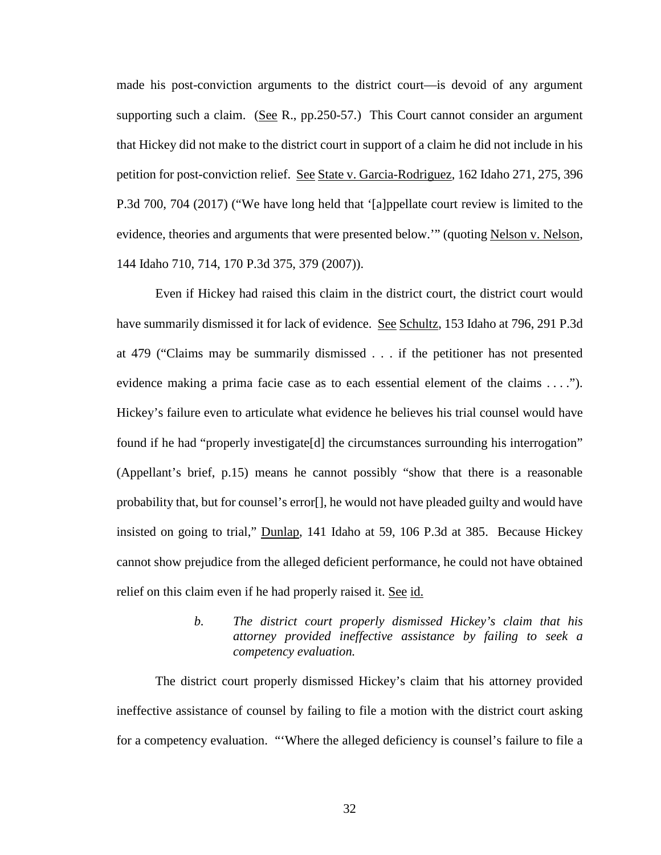made his post-conviction arguments to the district court—is devoid of any argument supporting such a claim. (See R., pp.250-57.) This Court cannot consider an argument that Hickey did not make to the district court in support of a claim he did not include in his petition for post-conviction relief. See State v. Garcia-Rodriguez, 162 Idaho 271, 275, 396 P.3d 700, 704 (2017) ("We have long held that '[a]ppellate court review is limited to the evidence, theories and arguments that were presented below." (quoting Nelson v. Nelson, 144 Idaho 710, 714, 170 P.3d 375, 379 (2007)).

Even if Hickey had raised this claim in the district court, the district court would have summarily dismissed it for lack of evidence. See Schultz, 153 Idaho at 796, 291 P.3d at 479 ("Claims may be summarily dismissed . . . if the petitioner has not presented evidence making a prima facie case as to each essential element of the claims . . . ."). Hickey's failure even to articulate what evidence he believes his trial counsel would have found if he had "properly investigate<sup>[d]</sup> the circumstances surrounding his interrogation" (Appellant's brief, p.15) means he cannot possibly "show that there is a reasonable probability that, but for counsel's error[], he would not have pleaded guilty and would have insisted on going to trial," Dunlap, 141 Idaho at 59, 106 P.3d at 385. Because Hickey cannot show prejudice from the alleged deficient performance, he could not have obtained relief on this claim even if he had properly raised it. See id.

> *b. The district court properly dismissed Hickey's claim that his attorney provided ineffective assistance by failing to seek a competency evaluation.*

The district court properly dismissed Hickey's claim that his attorney provided ineffective assistance of counsel by failing to file a motion with the district court asking for a competency evaluation. "'Where the alleged deficiency is counsel's failure to file a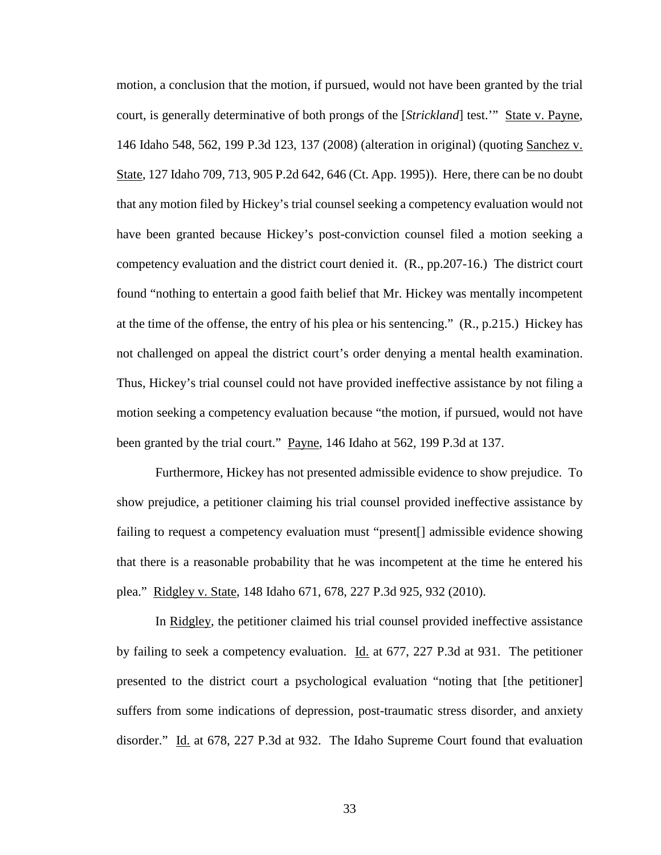motion, a conclusion that the motion, if pursued, would not have been granted by the trial court, is generally determinative of both prongs of the [*Strickland*] test.'" State v. Payne, 146 Idaho 548, 562, 199 P.3d 123, 137 (2008) (alteration in original) (quoting Sanchez v. State, 127 Idaho 709, 713, 905 P.2d 642, 646 (Ct. App. 1995)). Here, there can be no doubt that any motion filed by Hickey's trial counsel seeking a competency evaluation would not have been granted because Hickey's post-conviction counsel filed a motion seeking a competency evaluation and the district court denied it. (R., pp.207-16.) The district court found "nothing to entertain a good faith belief that Mr. Hickey was mentally incompetent at the time of the offense, the entry of his plea or his sentencing." (R., p.215.) Hickey has not challenged on appeal the district court's order denying a mental health examination. Thus, Hickey's trial counsel could not have provided ineffective assistance by not filing a motion seeking a competency evaluation because "the motion, if pursued, would not have been granted by the trial court." Payne, 146 Idaho at 562, 199 P.3d at 137.

Furthermore, Hickey has not presented admissible evidence to show prejudice. To show prejudice, a petitioner claiming his trial counsel provided ineffective assistance by failing to request a competency evaluation must "present<sup>[]</sup> admissible evidence showing that there is a reasonable probability that he was incompetent at the time he entered his plea." Ridgley v. State, 148 Idaho 671, 678, 227 P.3d 925, 932 (2010).

In Ridgley, the petitioner claimed his trial counsel provided ineffective assistance by failing to seek a competency evaluation. Id. at 677, 227 P.3d at 931. The petitioner presented to the district court a psychological evaluation "noting that [the petitioner] suffers from some indications of depression, post-traumatic stress disorder, and anxiety disorder." Id. at 678, 227 P.3d at 932. The Idaho Supreme Court found that evaluation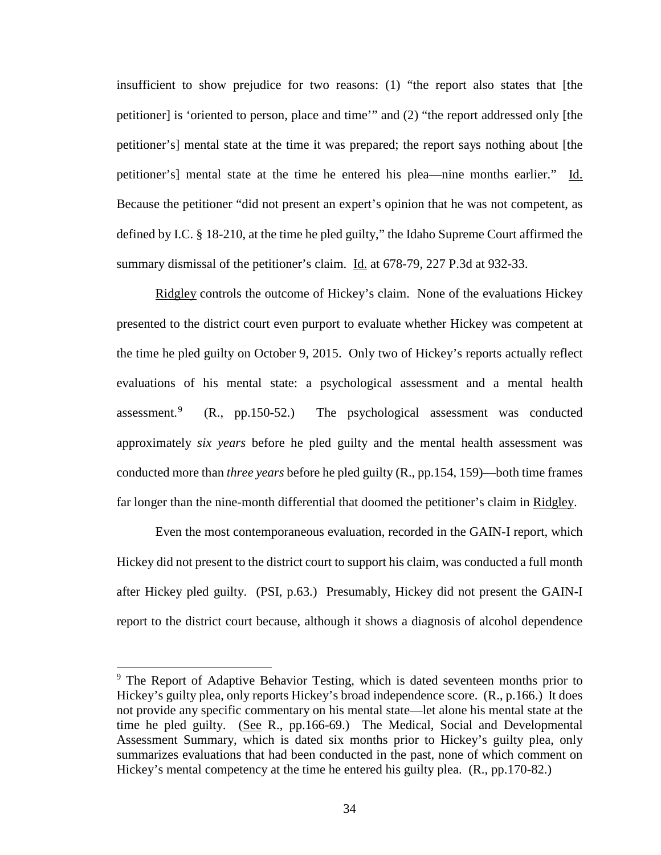insufficient to show prejudice for two reasons: (1) "the report also states that [the petitioner] is 'oriented to person, place and time'" and (2) "the report addressed only [the petitioner's] mental state at the time it was prepared; the report says nothing about [the petitioner's] mental state at the time he entered his plea—nine months earlier." Id. Because the petitioner "did not present an expert's opinion that he was not competent, as defined by I.C. § 18-210, at the time he pled guilty," the Idaho Supreme Court affirmed the summary dismissal of the petitioner's claim. Id. at 678-79, 227 P.3d at 932-33.

Ridgley controls the outcome of Hickey's claim. None of the evaluations Hickey presented to the district court even purport to evaluate whether Hickey was competent at the time he pled guilty on October 9, 2015. Only two of Hickey's reports actually reflect evaluations of his mental state: a psychological assessment and a mental health assessment.<sup>[9](#page--1-5)</sup> (R., pp.150-52.) The psychological assessment was conducted approximately *six years* before he pled guilty and the mental health assessment was conducted more than *three years* before he pled guilty (R., pp.154, 159)—both time frames far longer than the nine-month differential that doomed the petitioner's claim in Ridgley.

Even the most contemporaneous evaluation, recorded in the GAIN-I report, which Hickey did not present to the district court to support his claim, was conducted a full month after Hickey pled guilty. (PSI, p.63.) Presumably, Hickey did not present the GAIN-I report to the district court because, although it shows a diagnosis of alcohol dependence

 $\overline{a}$ 

<sup>&</sup>lt;sup>9</sup> The Report of Adaptive Behavior Testing, which is dated seventeen months prior to Hickey's guilty plea, only reports Hickey's broad independence score. (R., p.166.) It does not provide any specific commentary on his mental state—let alone his mental state at the time he pled guilty. (See R., pp.166-69.) The Medical, Social and Developmental Assessment Summary, which is dated six months prior to Hickey's guilty plea, only summarizes evaluations that had been conducted in the past, none of which comment on Hickey's mental competency at the time he entered his guilty plea. (R., pp.170-82.)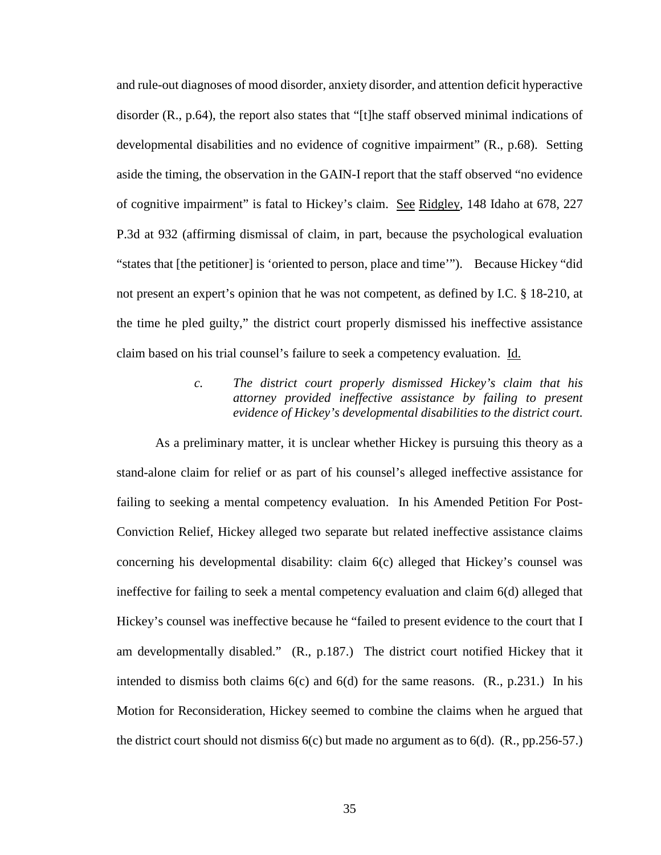and rule-out diagnoses of mood disorder, anxiety disorder, and attention deficit hyperactive disorder (R., p.64), the report also states that "[t]he staff observed minimal indications of developmental disabilities and no evidence of cognitive impairment" (R., p.68). Setting aside the timing, the observation in the GAIN-I report that the staff observed "no evidence of cognitive impairment" is fatal to Hickey's claim. See Ridgley, 148 Idaho at 678, 227 P.3d at 932 (affirming dismissal of claim, in part, because the psychological evaluation "states that [the petitioner] is 'oriented to person, place and time'"). Because Hickey "did not present an expert's opinion that he was not competent, as defined by I.C. § 18-210, at the time he pled guilty," the district court properly dismissed his ineffective assistance claim based on his trial counsel's failure to seek a competency evaluation. Id.

> *c. The district court properly dismissed Hickey's claim that his attorney provided ineffective assistance by failing to present evidence of Hickey's developmental disabilities to the district court.*

As a preliminary matter, it is unclear whether Hickey is pursuing this theory as a stand-alone claim for relief or as part of his counsel's alleged ineffective assistance for failing to seeking a mental competency evaluation. In his Amended Petition For Post-Conviction Relief, Hickey alleged two separate but related ineffective assistance claims concerning his developmental disability: claim 6(c) alleged that Hickey's counsel was ineffective for failing to seek a mental competency evaluation and claim 6(d) alleged that Hickey's counsel was ineffective because he "failed to present evidence to the court that I am developmentally disabled." (R., p.187.) The district court notified Hickey that it intended to dismiss both claims  $6(c)$  and  $6(d)$  for the same reasons.  $(R., p.231.)$  In his Motion for Reconsideration, Hickey seemed to combine the claims when he argued that the district court should not dismiss  $6(c)$  but made no argument as to  $6(d)$ .  $(R., pp.256-57.)$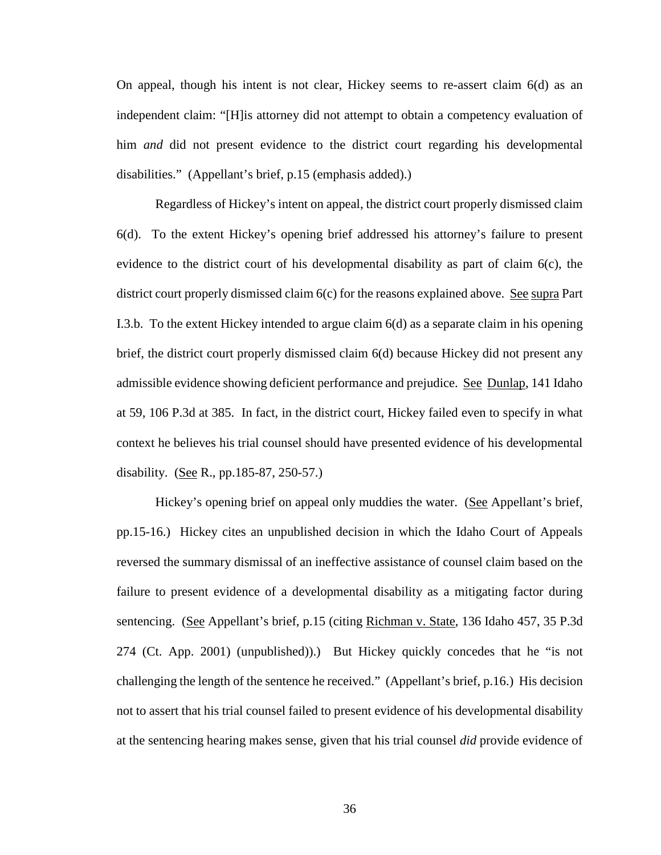On appeal, though his intent is not clear, Hickey seems to re-assert claim 6(d) as an independent claim: "[H]is attorney did not attempt to obtain a competency evaluation of him *and* did not present evidence to the district court regarding his developmental disabilities." (Appellant's brief, p.15 (emphasis added).)

Regardless of Hickey's intent on appeal, the district court properly dismissed claim 6(d). To the extent Hickey's opening brief addressed his attorney's failure to present evidence to the district court of his developmental disability as part of claim  $6(c)$ , the district court properly dismissed claim 6(c) for the reasons explained above. See supra Part I.3.b. To the extent Hickey intended to argue claim 6(d) as a separate claim in his opening brief, the district court properly dismissed claim 6(d) because Hickey did not present any admissible evidence showing deficient performance and prejudice. See Dunlap, 141 Idaho at 59, 106 P.3d at 385. In fact, in the district court, Hickey failed even to specify in what context he believes his trial counsel should have presented evidence of his developmental disability. (See R., pp.185-87, 250-57.)

Hickey's opening brief on appeal only muddies the water. (See Appellant's brief, pp.15-16.) Hickey cites an unpublished decision in which the Idaho Court of Appeals reversed the summary dismissal of an ineffective assistance of counsel claim based on the failure to present evidence of a developmental disability as a mitigating factor during sentencing. (See Appellant's brief, p.15 (citing Richman v. State, 136 Idaho 457, 35 P.3d) 274 (Ct. App. 2001) (unpublished)).) But Hickey quickly concedes that he "is not challenging the length of the sentence he received." (Appellant's brief, p.16.) His decision not to assert that his trial counsel failed to present evidence of his developmental disability at the sentencing hearing makes sense, given that his trial counsel *did* provide evidence of